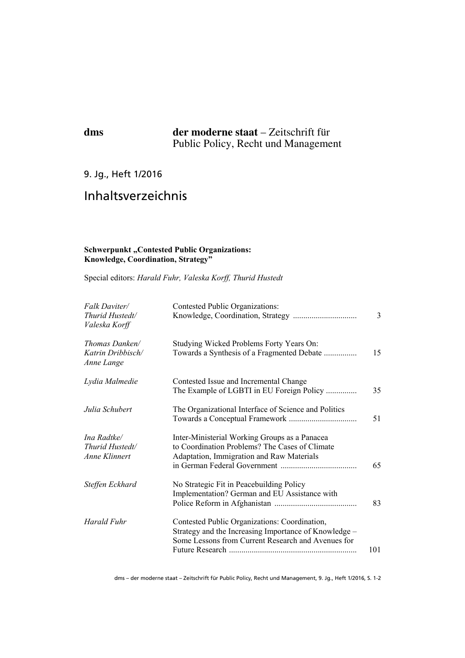## **dms der moderne staat** – Zeitschrift für Public Policy, Recht und Management

## 9. Jg., Heft 1/2016

# Inhaltsverzeichnis

### **Schwerpunkt** "Contested Public Organizations: **Knowledge, Coordination, Strategy"**

Special editors: *Harald Fuhr, Valeska Korff, Thurid Hustedt*

| Falk Daviter/<br>Thurid Hustedt/<br>Valeska Korff | Contested Public Organizations:                                                                                                                              | 3   |
|---------------------------------------------------|--------------------------------------------------------------------------------------------------------------------------------------------------------------|-----|
| Thomas Danken/<br>Katrin Dribbisch/<br>Anne Lange | Studying Wicked Problems Forty Years On:<br>Towards a Synthesis of a Fragmented Debate                                                                       | 15  |
| Lydia Malmedie                                    | Contested Issue and Incremental Change<br>The Example of LGBTI in EU Foreign Policy                                                                          | 35  |
| Julia Schubert                                    | The Organizational Interface of Science and Politics                                                                                                         | 51  |
| Ina Radtke/<br>Thurid Hustedt/<br>Anne Klinnert   | Inter-Ministerial Working Groups as a Panacea<br>to Coordination Problems? The Cases of Climate<br>Adaptation, Immigration and Raw Materials                 | 65  |
| Steffen Eckhard                                   | No Strategic Fit in Peacebuilding Policy<br>Implementation? German and EU Assistance with                                                                    | 83  |
| Harald Fuhr                                       | Contested Public Organizations: Coordination,<br>Strategy and the Increasing Importance of Knowledge -<br>Some Lessons from Current Research and Avenues for | 101 |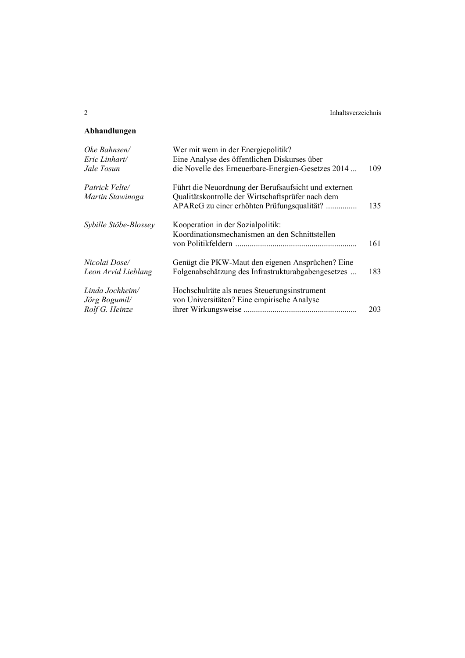### **Abhandlungen**

| Oke Bahnsen/          | Wer mit wem in der Energiepolitik?                   |     |
|-----------------------|------------------------------------------------------|-----|
| Eric Linhart/         | Eine Analyse des öffentlichen Diskurses über         |     |
| Jale Tosun            | die Novelle des Erneuerbare-Energien-Gesetzes 2014   | 109 |
| Patrick Velte/        | Führt die Neuordnung der Berufsaufsicht und externen |     |
| Martin Stawinoga      | Qualitätskontrolle der Wirtschaftsprüfer nach dem    |     |
|                       | APAReG zu einer erhöhten Prüfungsqualität?           | 135 |
| Sybille Stöbe-Blossey | Kooperation in der Sozialpolitik:                    |     |
|                       | Koordinationsmechanismen an den Schnittstellen       |     |
|                       |                                                      | 161 |
| Nicolai Dose/         | Genügt die PKW-Maut den eigenen Ansprüchen? Eine     |     |
| Leon Arvid Lieblang   | Folgenabschätzung des Infrastrukturabgabengesetzes   | 183 |
| Linda Jochheim/       | Hochschulräte als neues Steuerungsinstrument         |     |
| Jörg Bogumil/         | von Universitäten? Eine empirische Analyse           |     |
| Rolf G. Heinze        |                                                      | 203 |
|                       |                                                      |     |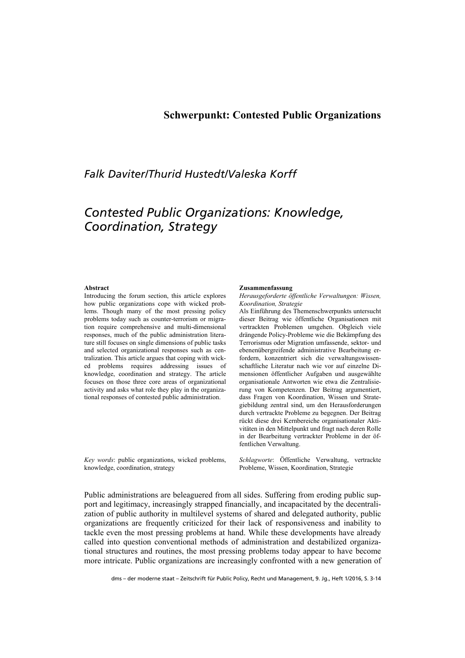### **Schwerpunkt: Contested Public Organizations**

# *Falk Daviter/Thurid Hustedt/Valeska Korff*

# *Contested Public Organizations: Knowledge, Coordination, Strategy*

#### **Abstract**

Introducing the forum section, this article explores how public organizations cope with wicked problems. Though many of the most pressing policy problems today such as counter-terrorism or migration require comprehensive and multi-dimensional responses, much of the public administration literature still focuses on single dimensions of public tasks and selected organizational responses such as centralization. This article argues that coping with wicked problems requires addressing issues of knowledge, coordination and strategy. The article focuses on those three core areas of organizational activity and asks what role they play in the organizational responses of contested public administration.

*Key words*: public organizations, wicked problems, knowledge, coordination, strategy

#### **Zusammenfassung**

*Herausgeforderte öffentliche Verwaltungen: Wissen, Koordination, Strategie* 

Als Einführung des Themenschwerpunkts untersucht dieser Beitrag wie öffentliche Organisationen mit vertrackten Problemen umgehen. Obgleich viele drängende Policy-Probleme wie die Bekämpfung des Terrorismus oder Migration umfassende, sektor- und ebenenübergreifende administrative Bearbeitung erfordern, konzentriert sich die verwaltungswissenschaftliche Literatur nach wie vor auf einzelne Dimensionen öffentlicher Aufgaben und ausgewählte organisationale Antworten wie etwa die Zentralisierung von Kompetenzen. Der Beitrag argumentiert, dass Fragen von Koordination, Wissen und Strategiebildung zentral sind, um den Herausforderungen durch vertrackte Probleme zu begegnen. Der Beitrag rückt diese drei Kernbereiche organisationaler Aktivitäten in den Mittelpunkt und fragt nach deren Rolle in der Bearbeitung vertrackter Probleme in der öffentlichen Verwaltung.

*Schlagworte*: Öffentliche Verwaltung, vertrackte Probleme, Wissen, Koordination, Strategie

Public administrations are beleaguered from all sides. Suffering from eroding public support and legitimacy, increasingly strapped financially, and incapacitated by the decentralization of public authority in multilevel systems of shared and delegated authority, public organizations are frequently criticized for their lack of responsiveness and inability to tackle even the most pressing problems at hand. While these developments have already called into question conventional methods of administration and destabilized organizational structures and routines, the most pressing problems today appear to have become more intricate. Public organizations are increasingly confronted with a new generation of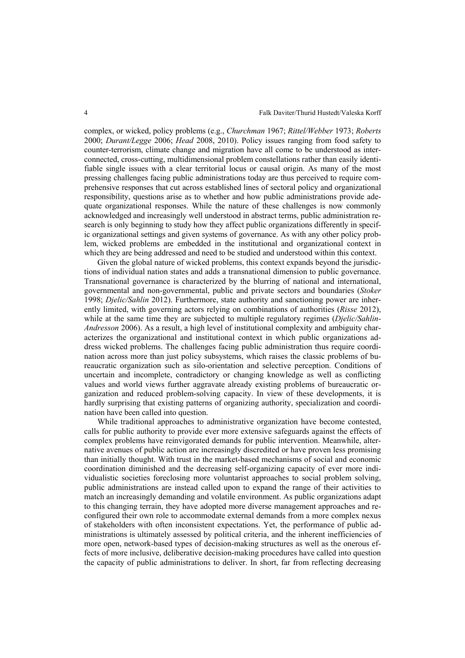complex, or wicked, policy problems (e.g., *Churchman* 1967; *Rittel/Webber* 1973; *Roberts* 2000; *Durant/Legge* 2006; *Head* 2008, 2010). Policy issues ranging from food safety to counter-terrorism, climate change and migration have all come to be understood as interconnected, cross-cutting, multidimensional problem constellations rather than easily identifiable single issues with a clear territorial locus or causal origin. As many of the most pressing challenges facing public administrations today are thus perceived to require comprehensive responses that cut across established lines of sectoral policy and organizational responsibility, questions arise as to whether and how public administrations provide adequate organizational responses. While the nature of these challenges is now commonly acknowledged and increasingly well understood in abstract terms, public administration research is only beginning to study how they affect public organizations differently in specific organizational settings and given systems of governance. As with any other policy problem, wicked problems are embedded in the institutional and organizational context in which they are being addressed and need to be studied and understood within this context.

Given the global nature of wicked problems, this context expands beyond the jurisdictions of individual nation states and adds a transnational dimension to public governance. Transnational governance is characterized by the blurring of national and international, governmental and non-governmental, public and private sectors and boundaries (*Stoker* 1998; *Djelic/Sahlin* 2012). Furthermore, state authority and sanctioning power are inherently limited, with governing actors relying on combinations of authorities (*Risse* 2012), while at the same time they are subjected to multiple regulatory regimes (*Djelic/Sahlin-Andresson* 2006). As a result, a high level of institutional complexity and ambiguity characterizes the organizational and institutional context in which public organizations address wicked problems. The challenges facing public administration thus require coordination across more than just policy subsystems, which raises the classic problems of bureaucratic organization such as silo-orientation and selective perception. Conditions of uncertain and incomplete, contradictory or changing knowledge as well as conflicting values and world views further aggravate already existing problems of bureaucratic organization and reduced problem-solving capacity. In view of these developments, it is hardly surprising that existing patterns of organizing authority, specialization and coordination have been called into question.

While traditional approaches to administrative organization have become contested, calls for public authority to provide ever more extensive safeguards against the effects of complex problems have reinvigorated demands for public intervention. Meanwhile, alternative avenues of public action are increasingly discredited or have proven less promising than initially thought. With trust in the market-based mechanisms of social and economic coordination diminished and the decreasing self-organizing capacity of ever more individualistic societies foreclosing more voluntarist approaches to social problem solving, public administrations are instead called upon to expand the range of their activities to match an increasingly demanding and volatile environment. As public organizations adapt to this changing terrain, they have adopted more diverse management approaches and reconfigured their own role to accommodate external demands from a more complex nexus of stakeholders with often inconsistent expectations. Yet, the performance of public administrations is ultimately assessed by political criteria, and the inherent inefficiencies of more open, network-based types of decision-making structures as well as the onerous effects of more inclusive, deliberative decision-making procedures have called into question the capacity of public administrations to deliver. In short, far from reflecting decreasing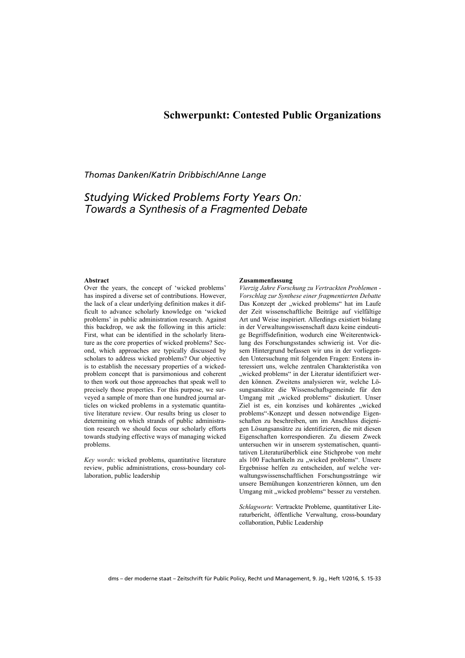### **Schwerpunkt: Contested Public Organizations**

### *Thomas Danken/Katrin Dribbisch/Anne Lange*

## *Studying Wicked Problems Forty Years On: Towards a Synthesis of a Fragmented Debate*

#### **Abstract**

Over the years, the concept of 'wicked problems' has inspired a diverse set of contributions. However, the lack of a clear underlying definition makes it difficult to advance scholarly knowledge on 'wicked problems' in public administration research. Against this backdrop, we ask the following in this article: First, what can be identified in the scholarly literature as the core properties of wicked problems? Second, which approaches are typically discussed by scholars to address wicked problems? Our objective is to establish the necessary properties of a wickedproblem concept that is parsimonious and coherent to then work out those approaches that speak well to precisely those properties. For this purpose, we surveyed a sample of more than one hundred journal articles on wicked problems in a systematic quantitative literature review. Our results bring us closer to determining on which strands of public administration research we should focus our scholarly efforts towards studying effective ways of managing wicked problems.

*Key words*: wicked problems, quantitative literature review, public administrations, cross-boundary collaboration, public leadership

#### **Zusammenfassung**

*Vierzig Jahre Forschung zu Vertrackten Problemen - Vorschlag zur Synthese einer fragmentierten Debatte*  Das Konzept der "wicked problems" hat im Laufe der Zeit wissenschaftliche Beiträge auf vielfältige Art und Weise inspiriert. Allerdings existiert bislang in der Verwaltungswissenschaft dazu keine eindeutige Begriffsdefinition, wodurch eine Weiterentwicklung des Forschungsstandes schwierig ist. Vor diesem Hintergrund befassen wir uns in der vorliegenden Untersuchung mit folgenden Fragen: Erstens interessiert uns, welche zentralen Charakteristika von "wicked problems" in der Literatur identifiziert werden können. Zweitens analysieren wir, welche Lösungsansätze die Wissenschaftsgemeinde für den Umgang mit "wicked problems" diskutiert. Unser Ziel ist es, ein konzises und kohärentes "wicked problems"-Konzept und dessen notwendige Eigenschaften zu beschreiben, um im Anschluss diejenigen Lösungsansätze zu identifizieren, die mit diesen Eigenschaften korrespondieren. Zu diesem Zweck untersuchen wir in unserem systematischen, quantitativen Literaturüberblick eine Stichprobe von mehr als 100 Fachartikeln zu "wicked problems". Unsere Ergebnisse helfen zu entscheiden, auf welche verwaltungswissenschaftlichen Forschungsstränge wir unsere Bemühungen konzentrieren können, um den Umgang mit "wicked problems" besser zu verstehen.

*Schlagworte*: Vertrackte Probleme, quantitativer Literaturbericht, öffentliche Verwaltung, cross-boundary collaboration, Public Leadership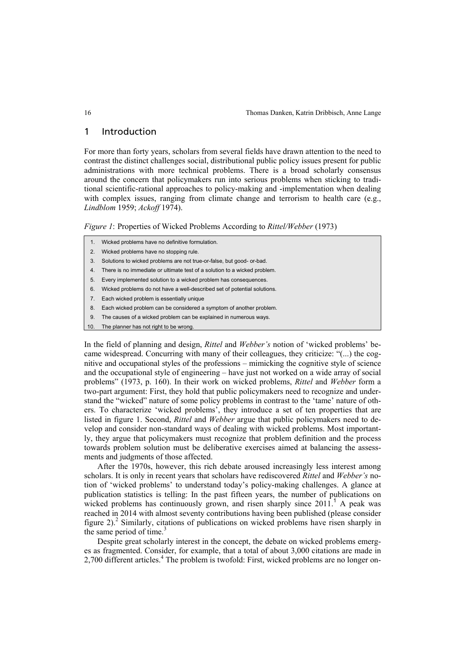### 1 Introduction

For more than forty years, scholars from several fields have drawn attention to the need to contrast the distinct challenges social, distributional public policy issues present for public administrations with more technical problems. There is a broad scholarly consensus around the concern that policymakers run into serious problems when sticking to traditional scientific-rational approaches to policy-making and -implementation when dealing with complex issues, ranging from climate change and terrorism to health care (e.g., *Lindblom* 1959; *Ackoff* 1974).

*Figure 1*: Properties of Wicked Problems According to *Rittel/Webber* (1973)

- 1. Wicked problems have no definitive formulation.
- 2. Wicked problems have no stopping rule.
- 3. Solutions to wicked problems are not true-or-false, but good- or-bad.
- 4. There is no immediate or ultimate test of a solution to a wicked problem.
- 5. Every implemented solution to a wicked problem has consequences.
- 6. Wicked problems do not have a well-described set of potential solutions.
- 7. Each wicked problem is essentially unique
- 8. Each wicked problem can be considered a symptom of another problem.
- 9. The causes of a wicked problem can be explained in numerous ways.
- 10. The planner has not right to be wrong.

In the field of planning and design, *Rittel* and *Webber's* notion of 'wicked problems' became widespread. Concurring with many of their colleagues, they criticize: "(...) the cognitive and occupational styles of the professions – mimicking the cognitive style of science and the occupational style of engineering – have just not worked on a wide array of social problems" (1973, p. 160). In their work on wicked problems, *Rittel* and *Webber* form a two-part argument: First, they hold that public policymakers need to recognize and understand the "wicked" nature of some policy problems in contrast to the 'tame' nature of others. To characterize 'wicked problems', they introduce a set of ten properties that are listed in figure 1. Second, *Rittel* and *Webber* argue that public policymakers need to develop and consider non-standard ways of dealing with wicked problems. Most importantly, they argue that policymakers must recognize that problem definition and the process towards problem solution must be deliberative exercises aimed at balancing the assessments and judgments of those affected.

After the 1970s, however, this rich debate aroused increasingly less interest among scholars. It is only in recent years that scholars have rediscovered *Rittel* and *Webber's* notion of 'wicked problems' to understand today's policy-making challenges. A glance at publication statistics is telling: In the past fifteen years, the number of publications on wicked problems has continuously grown, and risen sharply since  $2011$ .<sup>1</sup> A peak was reached in 2014 with almost seventy contributions having been published (please consider figure 2).<sup>2</sup> Similarly, citations of publications on wicked problems have risen sharply in the same period of time.<sup>3</sup>

Despite great scholarly interest in the concept, the debate on wicked problems emerges as fragmented. Consider, for example, that a total of about 3,000 citations are made in 2,700 different articles.<sup>4</sup> The problem is twofold: First, wicked problems are no longer on-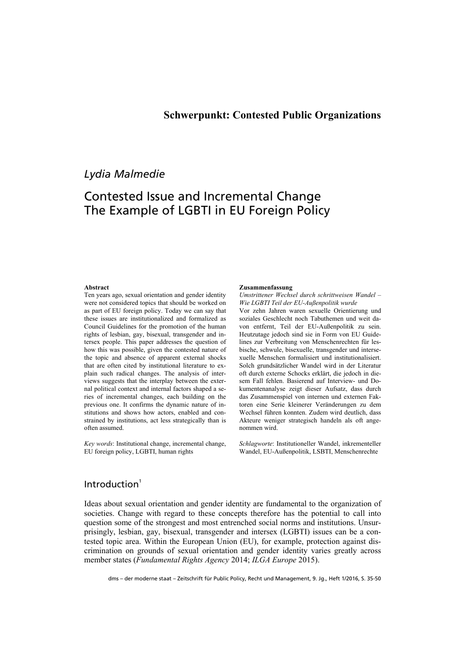## *Lydia Malmedie*

# Contested Issue and Incremental Change The Example of LGBTI in EU Foreign Policy

#### **Abstract**

Ten years ago, sexual orientation and gender identity were not considered topics that should be worked on as part of EU foreign policy. Today we can say that these issues are institutionalized and formalized as Council Guidelines for the promotion of the human rights of lesbian, gay, bisexual, transgender and intersex people. This paper addresses the question of how this was possible, given the contested nature of the topic and absence of apparent external shocks that are often cited by institutional literature to explain such radical changes. The analysis of interviews suggests that the interplay between the external political context and internal factors shaped a series of incremental changes, each building on the previous one. It confirms the dynamic nature of institutions and shows how actors, enabled and constrained by institutions, act less strategically than is often assumed.

*Key words*: Institutional change, incremental change, EU foreign policy, LGBTI, human rights

#### **Zusammenfassung**

*Umstrittener Wechsel durch schrittweisen Wandel ‒ Wie LGBTI Teil der EU-Außenpolitik wurde*

Vor zehn Jahren waren sexuelle Orientierung und soziales Geschlecht noch Tabuthemen und weit davon entfernt, Teil der EU-Außenpolitik zu sein. Heutzutage jedoch sind sie in Form von EU Guidelines zur Verbreitung von Menschenrechten für lesbische, schwule, bisexuelle, transgender und intersexuelle Menschen formalisiert und institutionalisiert. Solch grundsätzlicher Wandel wird in der Literatur oft durch externe Schocks erklärt, die jedoch in diesem Fall fehlen. Basierend auf Interview- und Dokumentenanalyse zeigt dieser Aufsatz, dass durch das Zusammenspiel von internen und externen Faktoren eine Serie kleinerer Veränderungen zu dem Wechsel führen konnten. Zudem wird deutlich, dass Akteure weniger strategisch handeln als oft angenommen wird.

*Schlagworte*: Institutioneller Wandel, inkrementeller Wandel, EU-Außenpolitik, LSBTI, Menschenrechte

### $Introduction<sup>1</sup>$

Ideas about sexual orientation and gender identity are fundamental to the organization of societies. Change with regard to these concepts therefore has the potential to call into question some of the strongest and most entrenched social norms and institutions. Unsurprisingly, lesbian, gay, bisexual, transgender and intersex (LGBTI) issues can be a contested topic area. Within the European Union (EU), for example, protection against discrimination on grounds of sexual orientation and gender identity varies greatly across member states (*Fundamental Rights Agency* 2014; *ILGA Europe* 2015).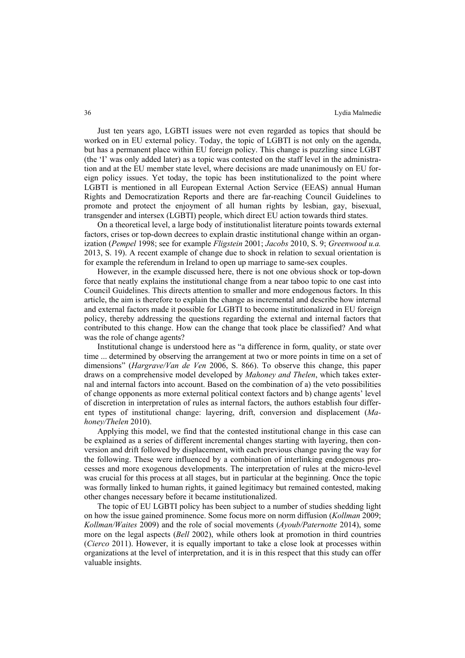Just ten years ago, LGBTI issues were not even regarded as topics that should be worked on in EU external policy. Today, the topic of LGBTI is not only on the agenda, but has a permanent place within EU foreign policy. This change is puzzling since LGBT (the 'I' was only added later) as a topic was contested on the staff level in the administration and at the EU member state level, where decisions are made unanimously on EU foreign policy issues. Yet today, the topic has been institutionalized to the point where LGBTI is mentioned in all European External Action Service (EEAS) annual Human Rights and Democratization Reports and there are far-reaching Council Guidelines to promote and protect the enjoyment of all human rights by lesbian, gay, bisexual, transgender and intersex (LGBTI) people, which direct EU action towards third states.

On a theoretical level, a large body of institutionalist literature points towards external factors, crises or top-down decrees to explain drastic institutional change within an organization (*Pempel* 1998; see for example *Fligstein* 2001; *Jacobs* 2010, S. 9; *Greenwood u.a.* 2013, S. 19). A recent example of change due to shock in relation to sexual orientation is for example the referendum in Ireland to open up marriage to same-sex couples.

However, in the example discussed here, there is not one obvious shock or top-down force that neatly explains the institutional change from a near taboo topic to one cast into Council Guidelines. This directs attention to smaller and more endogenous factors. In this article, the aim is therefore to explain the change as incremental and describe how internal and external factors made it possible for LGBTI to become institutionalized in EU foreign policy, thereby addressing the questions regarding the external and internal factors that contributed to this change. How can the change that took place be classified? And what was the role of change agents?

Institutional change is understood here as "a difference in form, quality, or state over time ... determined by observing the arrangement at two or more points in time on a set of dimensions" (*Hargrave/Van de Ven* 2006, S. 866). To observe this change, this paper draws on a comprehensive model developed by *Mahoney and Thelen*, which takes external and internal factors into account. Based on the combination of a) the veto possibilities of change opponents as more external political context factors and b) change agents' level of discretion in interpretation of rules as internal factors, the authors establish four different types of institutional change: layering, drift, conversion and displacement (*Mahoney/Thelen* 2010).

Applying this model, we find that the contested institutional change in this case can be explained as a series of different incremental changes starting with layering, then conversion and drift followed by displacement, with each previous change paving the way for the following. These were influenced by a combination of interlinking endogenous processes and more exogenous developments. The interpretation of rules at the micro-level was crucial for this process at all stages, but in particular at the beginning. Once the topic was formally linked to human rights, it gained legitimacy but remained contested, making other changes necessary before it became institutionalized.

The topic of EU LGBTI policy has been subject to a number of studies shedding light on how the issue gained prominence. Some focus more on norm diffusion (*Kollman* 2009; *Kollman/Waites* 2009) and the role of social movements (*Ayoub/Paternotte* 2014), some more on the legal aspects (*Bell* 2002), while others look at promotion in third countries (*Cierco* 2011). However, it is equally important to take a close look at processes within organizations at the level of interpretation, and it is in this respect that this study can offer valuable insights.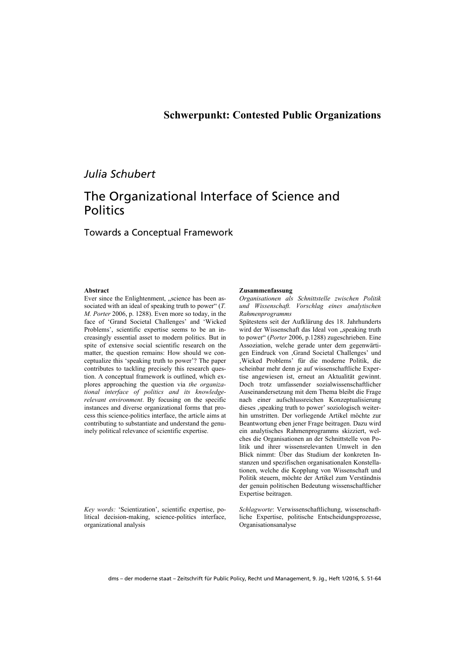## *Julia Schubert*

# The Organizational Interface of Science and **Politics**

Towards a Conceptual Framework

#### **Abstract**

Ever since the Enlightenment, "science has been associated with an ideal of speaking truth to power" (*T. M. Porter* 2006, p. 1288). Even more so today, in the face of 'Grand Societal Challenges' and 'Wicked Problems', scientific expertise seems to be an increasingly essential asset to modern politics. But in spite of extensive social scientific research on the matter, the question remains: How should we conceptualize this 'speaking truth to power'? The paper contributes to tackling precisely this research question. A conceptual framework is outlined, which explores approaching the question via *the organizational interface of politics and its knowledgerelevant environment*. By focusing on the specific instances and diverse organizational forms that process this science-politics interface, the article aims at contributing to substantiate and understand the genuinely political relevance of scientific expertise.

*Key words:* 'Scientization', scientific expertise, political decision-making, science-politics interface, organizational analysis

#### **Zusammenfassung**

*Organisationen als Schnittstelle zwischen Politik und Wissenschaft. Vorschlag eines analytischen Rahmenprogramms* 

Spätestens seit der Aufklärung des 18. Jahrhunderts wird der Wissenschaft das Ideal von "speaking truth to power" (*Porter* 2006, p.1288) zugeschrieben. Eine Assoziation, welche gerade unter dem gegenwärtigen Eindruck von 'Grand Societal Challenges' und 'Wicked Problems' für die moderne Politik, die scheinbar mehr denn je auf wissenschaftliche Expertise angewiesen ist, erneut an Aktualität gewinnt. Doch trotz umfassender sozialwissenschaftlicher Auseinandersetzung mit dem Thema bleibt die Frage nach einer aufschlussreichen Konzeptualisierung dieses , speaking truth to power' soziologisch weiterhin umstritten. Der vorliegende Artikel möchte zur Beantwortung eben jener Frage beitragen. Dazu wird ein analytisches Rahmenprogramms skizziert, welches die Organisationen an der Schnittstelle von Politik und ihrer wissensrelevanten Umwelt in den Blick nimmt: Über das Studium der konkreten Instanzen und spezifischen organisationalen Konstellationen, welche die Kopplung von Wissenschaft und Politik steuern, möchte der Artikel zum Verständnis der genuin politischen Bedeutung wissenschaftlicher Expertise beitragen.

*Schlagworte*: Verwissenschaftlichung, wissenschaftliche Expertise, politische Entscheidungsprozesse, Organisationsanalyse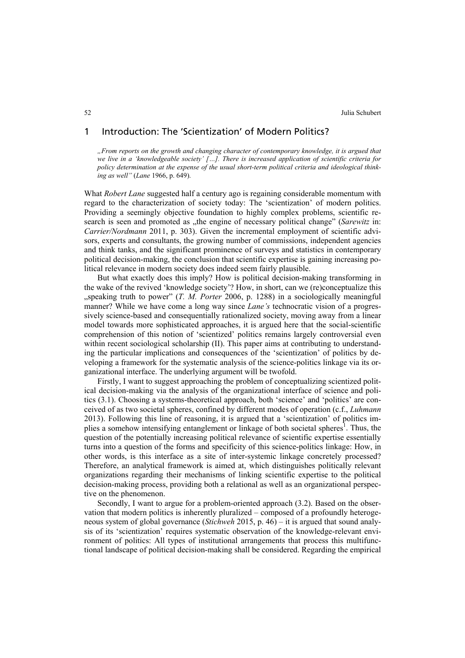### 1 Introduction: The 'Scientization' of Modern Politics?

*"From reports on the growth and changing character of contemporary knowledge, it is argued that we live in a 'knowledgeable society' […]. There is increased application of scientific criteria for policy determination at the expense of the usual short-term political criteria and ideological thinking as well"* (*Lane* 1966, p. 649).

What *Robert Lane* suggested half a century ago is regaining considerable momentum with regard to the characterization of society today: The 'scientization' of modern politics. Providing a seemingly objective foundation to highly complex problems, scientific research is seen and promoted as "the engine of necessary political change" (*Sarewitz* in: *Carrier/Nordmann* 2011, p. 303). Given the incremental employment of scientific advisors, experts and consultants, the growing number of commissions, independent agencies and think tanks, and the significant prominence of surveys and statistics in contemporary political decision-making, the conclusion that scientific expertise is gaining increasing political relevance in modern society does indeed seem fairly plausible.

But what exactly does this imply? How is political decision-making transforming in the wake of the revived 'knowledge society'? How, in short, can we (re)conceptualize this "speaking truth to power" (*T. M. Porter* 2006, p. 1288) in a sociologically meaningful manner? While we have come a long way since *Lane's* technocratic vision of a progressively science-based and consequentially rationalized society, moving away from a linear model towards more sophisticated approaches, it is argued here that the social-scientific comprehension of this notion of 'scientized' politics remains largely controversial even within recent sociological scholarship (II). This paper aims at contributing to understanding the particular implications and consequences of the 'scientization' of politics by developing a framework for the systematic analysis of the science-politics linkage via its organizational interface. The underlying argument will be twofold.

Firstly, I want to suggest approaching the problem of conceptualizing scientized political decision-making via the analysis of the organizational interface of science and politics (3.1). Choosing a systems-theoretical approach, both 'science' and 'politics' are conceived of as two societal spheres, confined by different modes of operation (c.f., *Luhmann* 2013). Following this line of reasoning, it is argued that a 'scientization' of politics implies a somehow intensifying entanglement or linkage of both societal spheres<sup>1</sup>. Thus, the question of the potentially increasing political relevance of scientific expertise essentially turns into a question of the forms and specificity of this science-politics linkage: How, in other words, is this interface as a site of inter-systemic linkage concretely processed? Therefore, an analytical framework is aimed at, which distinguishes politically relevant organizations regarding their mechanisms of linking scientific expertise to the political decision-making process, providing both a relational as well as an organizational perspective on the phenomenon.

Secondly, I want to argue for a problem-oriented approach (3.2). Based on the observation that modern politics is inherently pluralized – composed of a profoundly heterogeneous system of global governance (*Stichweh* 2015, p. 46) – it is argued that sound analysis of its 'scientization' requires systematic observation of the knowledge-relevant environment of politics: All types of institutional arrangements that process this multifunctional landscape of political decision-making shall be considered. Regarding the empirical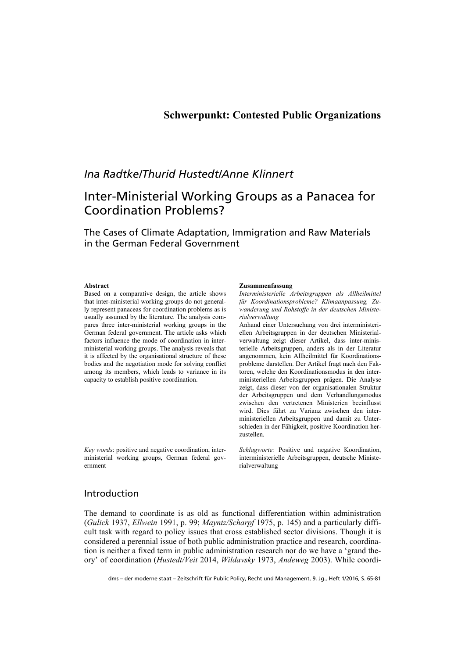### **Schwerpunkt: Contested Public Organizations**

## *Ina Radtke/Thurid Hustedt/Anne Klinnert*

# Inter-Ministerial Working Groups as a Panacea for Coordination Problems?

The Cases of Climate Adaptation, Immigration and Raw Materials in the German Federal Government

#### **Abstract**

Based on a comparative design, the article shows that inter-ministerial working groups do not generally represent panaceas for coordination problems as is usually assumed by the literature. The analysis compares three inter-ministerial working groups in the German federal government. The article asks which factors influence the mode of coordination in interministerial working groups. The analysis reveals that it is affected by the organisational structure of these bodies and the negotiation mode for solving conflict among its members, which leads to variance in its capacity to establish positive coordination.

*Key words*: positive and negative coordination, interministerial working groups, German federal government

#### **Zusammenfassung**

*Interministerielle Arbeitsgruppen als Allheilmittel für Koordinationsprobleme? Klimaanpassung, Zuwanderung und Rohstoffe in der deutschen Ministerialverwaltung* 

Anhand einer Untersuchung von drei interministeriellen Arbeitsgruppen in der deutschen Ministerialverwaltung zeigt dieser Artikel, dass inter-ministerielle Arbeitsgruppen, anders als in der Literatur angenommen, kein Allheilmittel für Koordinationsprobleme darstellen. Der Artikel fragt nach den Faktoren, welche den Koordinationsmodus in den interministeriellen Arbeitsgruppen prägen. Die Analyse zeigt, dass dieser von der organisationalen Struktur der Arbeitsgruppen und dem Verhandlungsmodus zwischen den vertretenen Ministerien beeinflusst wird. Dies führt zu Varianz zwischen den interministeriellen Arbeitsgruppen und damit zu Unterschieden in der Fähigkeit, positive Koordination herzustellen.

*Schlagworte:* Positive und negative Koordination, interministerielle Arbeitsgruppen, deutsche Ministerialverwaltung

### Introduction

The demand to coordinate is as old as functional differentiation within administration (*Gulick* 1937, *Ellwein* 1991, p. 99; *Mayntz/Scharpf* 1975, p. 145) and a particularly difficult task with regard to policy issues that cross established sector divisions. Though it is considered a perennial issue of both public administration practice and research, coordination is neither a fixed term in public administration research nor do we have a 'grand theory' of coordination (*Hustedt/Veit* 2014, *Wildavsky* 1973, *Andeweg* 2003). While coordi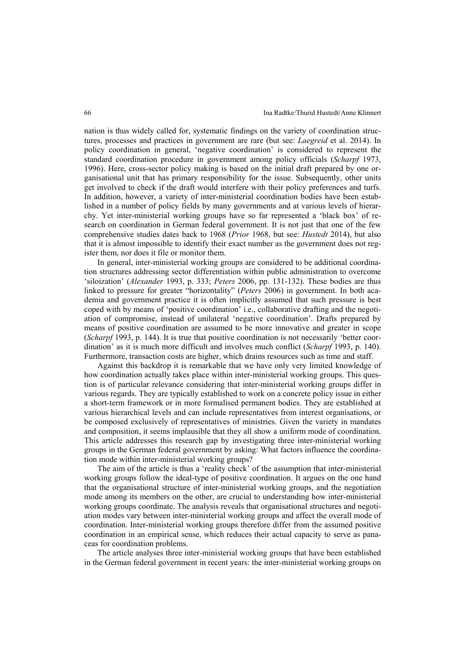nation is thus widely called for, systematic findings on the variety of coordination structures, processes and practices in government are rare (but see: *Laegreid* et al. 2014). In policy coordination in general, 'negative coordination' is considered to represent the standard coordination procedure in government among policy officials (*Scharpf* 1973, 1996). Here, cross-sector policy making is based on the initial draft prepared by one organisational unit that has primary responsibility for the issue. Subsequently, other units get involved to check if the draft would interfere with their policy preferences and turfs. In addition, however, a variety of inter-ministerial coordination bodies have been established in a number of policy fields by many governments and at various levels of hierarchy. Yet inter-ministerial working groups have so far represented a 'black box' of research on coordination in German federal government. It is not just that one of the few comprehensive studies dates back to 1968 (*Prior* 1968, but see: *Hustedt* 2014), but also that it is almost impossible to identify their exact number as the government does not register them, nor does it file or monitor them.

In general, inter-ministerial working groups are considered to be additional coordination structures addressing sector differentiation within public administration to overcome 'siloization' (*Alexander* 1993, p. 333; *Peters* 2006, pp. 131-132). These bodies are thus linked to pressure for greater "horizontality" (*Peters* 2006) in government. In both academia and government practice it is often implicitly assumed that such pressure is best coped with by means of 'positive coordination' i.e., collaborative drafting and the negotiation of compromise, instead of unilateral 'negative coordination'. Drafts prepared by means of positive coordination are assumed to be more innovative and greater in scope (*Scharpf* 1993, p. 144). It is true that positive coordination is not necessarily 'better coordination' as it is much more difficult and involves much conflict (*Scharpf* 1993, p. 140). Furthermore, transaction costs are higher, which drains resources such as time and staff.

Against this backdrop it is remarkable that we have only very limited knowledge of how coordination actually takes place within inter-ministerial working groups. This question is of particular relevance considering that inter-ministerial working groups differ in various regards. They are typically established to work on a concrete policy issue in either a short-term framework or in more formalised permanent bodies. They are established at various hierarchical levels and can include representatives from interest organisations, or be composed exclusively of representatives of ministries. Given the variety in mandates and composition, it seems implausible that they all show a uniform mode of coordination. This article addresses this research gap by investigating three inter-ministerial working groups in the German federal government by asking: What factors influence the coordination mode within inter-ministerial working groups?

The aim of the article is thus a 'reality check' of the assumption that inter-ministerial working groups follow the ideal-type of positive coordination. It argues on the one hand that the organisational structure of inter-ministerial working groups, and the negotiation mode among its members on the other, are crucial to understanding how inter-ministerial working groups coordinate. The analysis reveals that organisational structures and negotiation modes vary between inter-ministerial working groups and affect the overall mode of coordination. Inter-ministerial working groups therefore differ from the assumed positive coordination in an empirical sense, which reduces their actual capacity to serve as panaceas for coordination problems.

The article analyses three inter-ministerial working groups that have been established in the German federal government in recent years: the inter-ministerial working groups on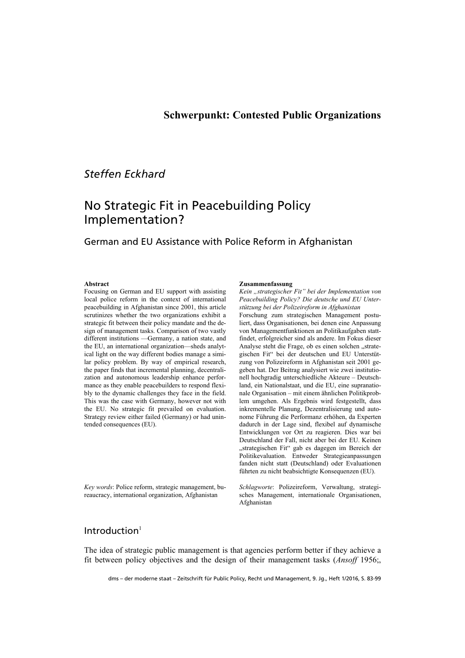### **Schwerpunkt: Contested Public Organizations**

## *Steffen Eckhard*

# No Strategic Fit in Peacebuilding Policy Implementation?

### German and EU Assistance with Police Reform in Afghanistan

#### **Abstract**

Focusing on German and EU support with assisting local police reform in the context of international peacebuilding in Afghanistan since 2001, this article scrutinizes whether the two organizations exhibit a strategic fit between their policy mandate and the design of management tasks. Comparison of two vastly different institutions —Germany, a nation state, and the EU, an international organization—sheds analytical light on the way different bodies manage a similar policy problem. By way of empirical research, the paper finds that incremental planning, decentralization and autonomous leadership enhance performance as they enable peacebuilders to respond flexibly to the dynamic challenges they face in the field. This was the case with Germany, however not with the EU. No strategic fit prevailed on evaluation. Strategy review either failed (Germany) or had unintended consequences (EU).

*Key words*: Police reform, strategic management, bureaucracy, international organization, Afghanistan

#### **Zusammenfassung**

*Kein "strategischer Fit" bei der Implementation von Peacebuilding Policy? Die deutsche und EU Unterstützung bei der Polizeireform in Afghanistan* 

Forschung zum strategischen Management postuliert, dass Organisationen, bei denen eine Anpassung von Managementfunktionen an Politikaufgaben stattfindet, erfolgreicher sind als andere. Im Fokus dieser Analyse steht die Frage, ob es einen solchen "strategischen Fit" bei der deutschen und EU Unterstützung von Polizeireform in Afghanistan seit 2001 gegeben hat. Der Beitrag analysiert wie zwei institutionell hochgradig unterschiedliche Akteure – Deutschland, ein Nationalstaat, und die EU, eine supranationale Organisation – mit einem ähnlichen Politikproblem umgehen. Als Ergebnis wird festgestellt, dass inkrementelle Planung, Dezentralisierung und autonome Führung die Performanz erhöhen, da Experten dadurch in der Lage sind, flexibel auf dynamische Entwicklungen vor Ort zu reagieren. Dies war bei Deutschland der Fall, nicht aber bei der EU. Keinen "strategischen Fit" gab es dagegen im Bereich der Politikevaluation. Entweder Strategieanpassungen fanden nicht statt (Deutschland) oder Evaluationen führten zu nicht beabsichtigte Konsequenzen (EU).

*Schlagworte*: Polizeireform, Verwaltung, strategisches Management, internationale Organisationen, Afghanistan

### Introduction $1$

The idea of strategic public management is that agencies perform better if they achieve a fit between policy objectives and the design of their management tasks (*Ansoff* 1956;,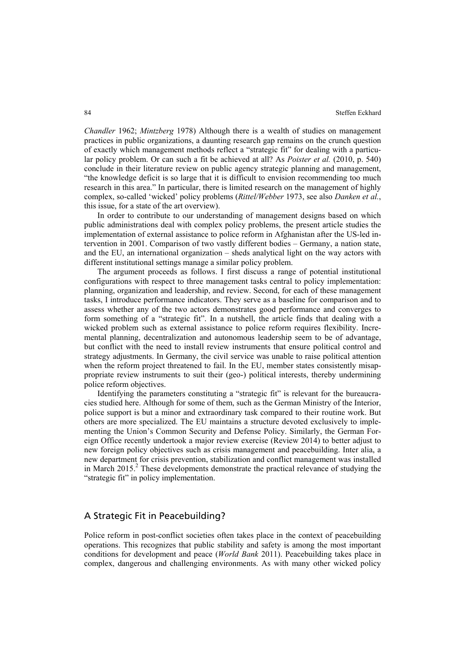*Chandler* 1962; *Mintzberg* 1978) Although there is a wealth of studies on management practices in public organizations, a daunting research gap remains on the crunch question of exactly which management methods reflect a "strategic fit" for dealing with a particular policy problem. Or can such a fit be achieved at all? As *Poister et al.* (2010, p. 540) conclude in their literature review on public agency strategic planning and management, "the knowledge deficit is so large that it is difficult to envision recommending too much research in this area." In particular, there is limited research on the management of highly complex, so-called 'wicked' policy problems (*Rittel/Webber* 1973, see also *Danken et al.*, this issue, for a state of the art overview).

In order to contribute to our understanding of management designs based on which public administrations deal with complex policy problems, the present article studies the implementation of external assistance to police reform in Afghanistan after the US-led intervention in 2001. Comparison of two vastly different bodies – Germany, a nation state, and the EU, an international organization – sheds analytical light on the way actors with different institutional settings manage a similar policy problem.

The argument proceeds as follows. I first discuss a range of potential institutional configurations with respect to three management tasks central to policy implementation: planning, organization and leadership, and review. Second, for each of these management tasks, I introduce performance indicators. They serve as a baseline for comparison and to assess whether any of the two actors demonstrates good performance and converges to form something of a "strategic fit". In a nutshell, the article finds that dealing with a wicked problem such as external assistance to police reform requires flexibility. Incremental planning, decentralization and autonomous leadership seem to be of advantage, but conflict with the need to install review instruments that ensure political control and strategy adjustments. In Germany, the civil service was unable to raise political attention when the reform project threatened to fail. In the EU, member states consistently misappropriate review instruments to suit their (geo-) political interests, thereby undermining police reform objectives.

Identifying the parameters constituting a "strategic fit" is relevant for the bureaucracies studied here. Although for some of them, such as the German Ministry of the Interior, police support is but a minor and extraordinary task compared to their routine work. But others are more specialized. The EU maintains a structure devoted exclusively to implementing the Union's Common Security and Defense Policy. Similarly, the German Foreign Office recently undertook a major review exercise (Review 2014) to better adjust to new foreign policy objectives such as crisis management and peacebuilding. Inter alia, a new department for crisis prevention, stabilization and conflict management was installed in March  $2015$ .<sup>2</sup> These developments demonstrate the practical relevance of studying the "strategic fit" in policy implementation.

### A Strategic Fit in Peacebuilding?

Police reform in post-conflict societies often takes place in the context of peacebuilding operations. This recognizes that public stability and safety is among the most important conditions for development and peace (*World Bank* 2011). Peacebuilding takes place in complex, dangerous and challenging environments. As with many other wicked policy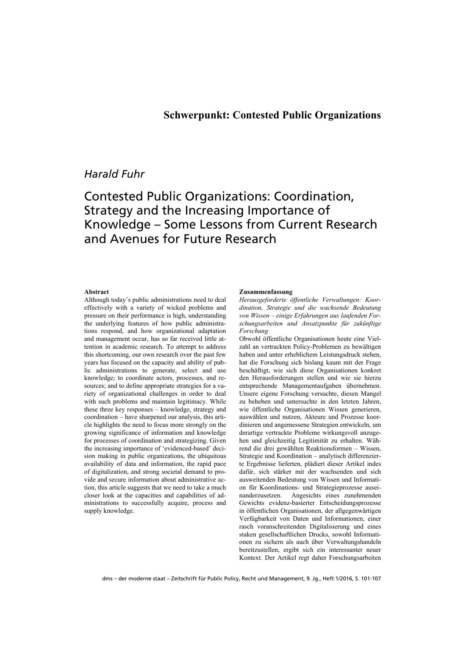## *Harald Fuhr*

# Contested Public Organizations: Coordination, Strategy and the Increasing Importance of Knowledge – Some Lessons from Current Research and Avenues for Future Research

#### **Abstract**

Although today's public administrations need to deal effectively with a variety of wicked problems and pressure on their performance is high, understanding the underlying features of how public administrations respond, and how organizational adaptation and management occur, has so far received little attention in academic research. To attempt to address this shortcoming, our own research over the past few years has focused on the capacity and ability of public administrations to generate, select and use knowledge; to coordinate actors, processes, and resources; and to define appropriate strategies for a variety of organizational challenges in order to deal with such problems and maintain legitimacy. While these three key responses – knowledge, strategy and coordination – have sharpened our analysis, this article highlights the need to focus more strongly on the growing significance of information and knowledge for processes of coordination and strategizing. Given the increasing importance of 'evidenced-based' decision making in public organizations, the ubiquitous availability of data and information, the rapid pace of digitalization, and strong societal demand to provide and secure information about administrative action, this article suggests that we need to take a much closer look at the capacities and capabilities of administrations to successfully acquire, process and supply knowledge.

#### **Zusammenfassung**

*Herausgeforderte öffentliche Verwaltungen: Koordination, Strategie und die wachsende Bedeutung von Wissen – einige Erfahrungen aus laufenden Forschungsarbeiten und Ansatzpunkte für zukünftige Forschung* 

Obwohl öffentliche Organisationen heute eine Vielzahl an vertrackten Policy-Problemen zu bewältigen haben und unter erheblichem Leistungsdruck stehen, hat die Forschung sich bislang kaum mit der Frage beschäftigt, wie sich diese Organisationen konkret den Herausforderungen stellen und wie sie hierzu entsprechende Managementaufgaben übernehmen. Unsere eigene Forschung versuchte, diesen Mangel zu beheben und untersuchte in den letzten Jahren, wie öffentliche Organisationen Wissen generieren, auswählen und nutzen, Akteure und Prozesse koordinieren und angemessene Strategien entwickeln, um derartige vertrackte Probleme wirkungsvoll anzugehen und gleichzeitig Legitimität zu erhalten. Während die drei gewählten Reaktionsformen – Wissen, Strategie und Koordination – analytisch differenzierte Ergebnisse lieferten, plädiert dieser Artikel indes dafür, sich stärker mit der wachsenden und sich ausweitenden Bedeutung von Wissen und Information für Koordinations- und Strategieprozesse auseinanderzusetzen. Angesichts eines zunehmenden Gewichts evidenz-basierter Entscheidungsprozesse in öffentlichen Organisationen, der allgegenwärtigen Verfügbarkeit von Daten und Informationen, einer rasch voranschreitenden Digitalisierung und eines staken gesellschaftlichen Drucks, sowohl Informationen zu sichern als auch über Verwaltungshandeln bereitzustellen, ergibt sich ein interessanter neuer Kontext. Der Artikel regt daher Forschungsarbeiten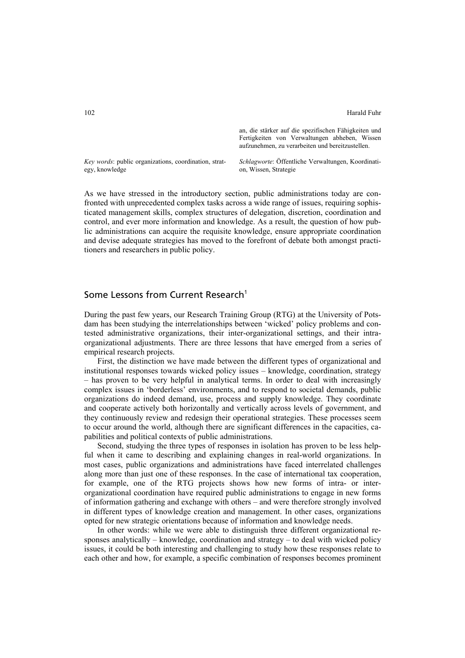an, die stärker auf die spezifischen Fähigkeiten und Fertigkeiten von Verwaltungen abheben, Wissen aufzunehmen, zu verarbeiten und bereitzustellen.

*Key words*: public organizations, coordination, strategy, knowledge

*Schlagworte*: Öffentliche Verwaltungen, Koordination, Wissen, Strategie

As we have stressed in the introductory section, public administrations today are confronted with unprecedented complex tasks across a wide range of issues, requiring sophisticated management skills, complex structures of delegation, discretion, coordination and control, and ever more information and knowledge. As a result, the question of how public administrations can acquire the requisite knowledge, ensure appropriate coordination and devise adequate strategies has moved to the forefront of debate both amongst practitioners and researchers in public policy.

## Some Lessons from Current Research<sup>1</sup>

During the past few years, our Research Training Group (RTG) at the University of Potsdam has been studying the interrelationships between 'wicked' policy problems and contested administrative organizations, their inter-organizational settings, and their intraorganizational adjustments. There are three lessons that have emerged from a series of empirical research projects.

First, the distinction we have made between the different types of organizational and institutional responses towards wicked policy issues – knowledge, coordination, strategy – has proven to be very helpful in analytical terms. In order to deal with increasingly complex issues in 'borderless' environments, and to respond to societal demands, public organizations do indeed demand, use, process and supply knowledge. They coordinate and cooperate actively both horizontally and vertically across levels of government, and they continuously review and redesign their operational strategies. These processes seem to occur around the world, although there are significant differences in the capacities, capabilities and political contexts of public administrations.

Second, studying the three types of responses in isolation has proven to be less helpful when it came to describing and explaining changes in real-world organizations. In most cases, public organizations and administrations have faced interrelated challenges along more than just one of these responses. In the case of international tax cooperation, for example, one of the RTG projects shows how new forms of intra- or interorganizational coordination have required public administrations to engage in new forms of information gathering and exchange with others – and were therefore strongly involved in different types of knowledge creation and management. In other cases, organizations opted for new strategic orientations because of information and knowledge needs.

In other words: while we were able to distinguish three different organizational responses analytically – knowledge, coordination and strategy – to deal with wicked policy issues, it could be both interesting and challenging to study how these responses relate to each other and how, for example, a specific combination of responses becomes prominent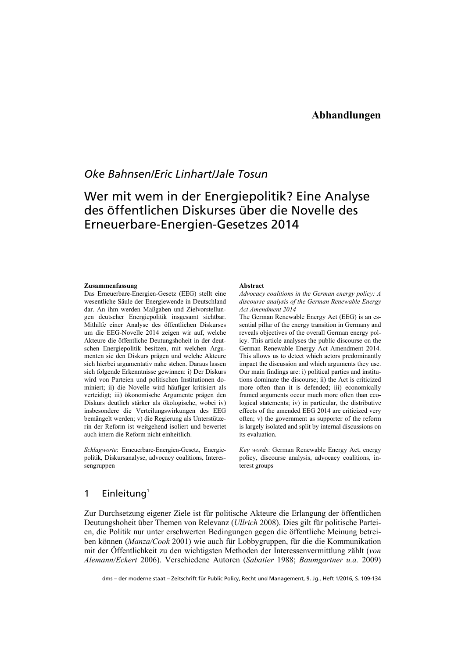## *Oke Bahnsen/Eric Linhart/Jale Tosun*

# Wer mit wem in der Energiepolitik? Eine Analyse des öffentlichen Diskurses über die Novelle des Erneuerbare-Energien-Gesetzes 2014

#### **Zusammenfassung**

Das Erneuerbare-Energien-Gesetz (EEG) stellt eine wesentliche Säule der Energiewende in Deutschland dar. An ihm werden Maßgaben und Zielvorstellungen deutscher Energiepolitik insgesamt sichtbar. Mithilfe einer Analyse des öffentlichen Diskurses um die EEG-Novelle 2014 zeigen wir auf, welche Akteure die öffentliche Deutungshoheit in der deutschen Energiepolitik besitzen, mit welchen Argumenten sie den Diskurs prägen und welche Akteure sich hierbei argumentativ nahe stehen. Daraus lassen sich folgende Erkenntnisse gewinnen: i) Der Diskurs wird von Parteien und politischen Institutionen dominiert; ii) die Novelle wird häufiger kritisiert als verteidigt; iii) ökonomische Argumente prägen den Diskurs deutlich stärker als ökologische, wobei iv) insbesondere die Verteilungswirkungen des EEG bemängelt werden; v) die Regierung als Unterstützerin der Reform ist weitgehend isoliert und bewertet auch intern die Reform nicht einheitlich.

*Schlagworte*: Erneuerbare-Energien-Gesetz, Energiepolitik, Diskursanalyse, advocacy coalitions, Interessengruppen

#### **Abstract**

*Advocacy coalitions in the German energy policy: A discourse analysis of the German Renewable Energy Act Amendment 2014*

The German Renewable Energy Act (EEG) is an essential pillar of the energy transition in Germany and reveals objectives of the overall German energy policy. This article analyses the public discourse on the German Renewable Energy Act Amendment 2014. This allows us to detect which actors predominantly impact the discussion and which arguments they use. Our main findings are: i) political parties and institutions dominate the discourse; ii) the Act is criticized more often than it is defended; iii) economically framed arguments occur much more often than ecological statements; iv) in particular, the distributive effects of the amended EEG 2014 are criticized very often; v) the government as supporter of the reform is largely isolated and split by internal discussions on its evaluation.

*Key words*: German Renewable Energy Act, energy policy, discourse analysis, advocacy coalitions, interest groups

### 1 Einleitung $1$

Zur Durchsetzung eigener Ziele ist für politische Akteure die Erlangung der öffentlichen Deutungshoheit über Themen von Relevanz (*Ullrich* 2008). Dies gilt für politische Parteien, die Politik nur unter erschwerten Bedingungen gegen die öffentliche Meinung betreiben können (*Manza/Cook* 2001) wie auch für Lobbygruppen, für die die Kommunikation mit der Öffentlichkeit zu den wichtigsten Methoden der Interessenvermittlung zählt (*von Alemann/Eckert* 2006). Verschiedene Autoren (*Sabatier* 1988; *Baumgartner u.a.* 2009)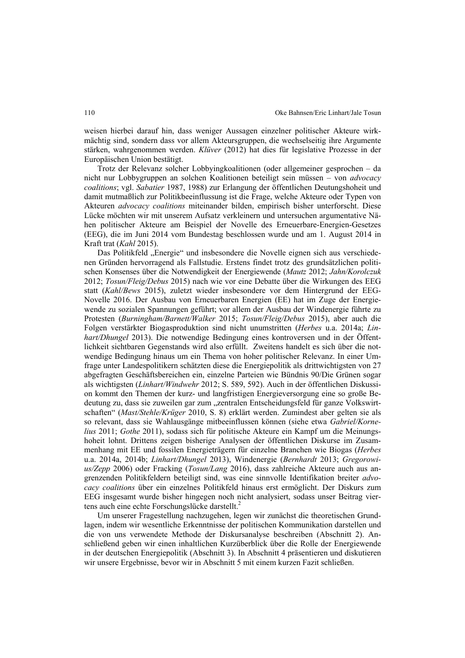weisen hierbei darauf hin, dass weniger Aussagen einzelner politischer Akteure wirkmächtig sind, sondern dass vor allem Akteursgruppen, die wechselseitig ihre Argumente stärken, wahrgenommen werden. *Klüver* (2012) hat dies für legislative Prozesse in der Europäischen Union bestätigt.

Trotz der Relevanz solcher Lobbyingkoalitionen (oder allgemeiner gesprochen – da nicht nur Lobbygruppen an solchen Koalitionen beteiligt sein müssen – von *advocacy coalitions*; vgl. *Sabatier* 1987, 1988) zur Erlangung der öffentlichen Deutungshoheit und damit mutmaßlich zur Politikbeeinflussung ist die Frage, welche Akteure oder Typen von Akteuren *advocacy coalitions* miteinander bilden, empirisch bisher unterforscht. Diese Lücke möchten wir mit unserem Aufsatz verkleinern und untersuchen argumentative Nähen politischer Akteure am Beispiel der Novelle des Erneuerbare-Energien-Gesetzes (EEG), die im Juni 2014 vom Bundestag beschlossen wurde und am 1. August 2014 in Kraft trat (*Kahl* 2015).

Das Politikfeld "Energie" und insbesondere die Novelle eignen sich aus verschiedenen Gründen hervorragend als Fallstudie. Erstens findet trotz des grundsätzlichen politischen Konsenses über die Notwendigkeit der Energiewende (*Mautz* 2012; *Jahn/Korolczuk*  2012; *Tosun/Fleig/Debus* 2015) nach wie vor eine Debatte über die Wirkungen des EEG statt (*Kahl/Bews* 2015), zuletzt wieder insbesondere vor dem Hintergrund der EEG-Novelle 2016. Der Ausbau von Erneuerbaren Energien (EE) hat im Zuge der Energiewende zu sozialen Spannungen geführt; vor allem der Ausbau der Windenergie führte zu Protesten (*Burningham/Barnett/Walker* 2015; *Tosun/Fleig/Debus* 2015), aber auch die Folgen verstärkter Biogasproduktion sind nicht unumstritten (*Herbes* u.a. 2014a; *Linhart/Dhungel* 2013). Die notwendige Bedingung eines kontroversen und in der Öffentlichkeit sichtbaren Gegenstands wird also erfüllt. Zweitens handelt es sich über die notwendige Bedingung hinaus um ein Thema von hoher politischer Relevanz. In einer Umfrage unter Landespolitikern schätzten diese die Energiepolitik als drittwichtigsten von 27 abgefragten Geschäftsbereichen ein, einzelne Parteien wie Bündnis 90/Die Grünen sogar als wichtigsten (*Linhart/Windwehr* 2012; S. 589, 592). Auch in der öffentlichen Diskussion kommt den Themen der kurz- und langfristigen Energieversorgung eine so große Bedeutung zu, dass sie zuweilen gar zum "zentralen Entscheidungsfeld für ganze Volkswirtschaften" (*Mast/Stehle/Krüger* 2010, S. 8) erklärt werden. Zumindest aber gelten sie als so relevant, dass sie Wahlausgänge mitbeeinflussen können (siehe etwa *Gabriel/Kornelius* 2011; *Gothe* 2011), sodass sich für politische Akteure ein Kampf um die Meinungshoheit lohnt. Drittens zeigen bisherige Analysen der öffentlichen Diskurse im Zusammenhang mit EE und fossilen Energieträgern für einzelne Branchen wie Biogas (*Herbes* u.a. 2014a, 2014b; *Linhart/Dhungel* 2013), Windenergie (*Bernhardt* 2013; *Gregorowius/Zepp* 2006) oder Fracking (*Tosun/Lang* 2016), dass zahlreiche Akteure auch aus angrenzenden Politikfeldern beteiligt sind, was eine sinnvolle Identifikation breiter *advocacy coalitions* über ein einzelnes Politikfeld hinaus erst ermöglicht. Der Diskurs zum EEG insgesamt wurde bisher hingegen noch nicht analysiert, sodass unser Beitrag viertens auch eine echte Forschungslücke darstellt. $^{2}$ 

Um unserer Fragestellung nachzugehen, legen wir zunächst die theoretischen Grundlagen, indem wir wesentliche Erkenntnisse der politischen Kommunikation darstellen und die von uns verwendete Methode der Diskursanalyse beschreiben (Abschnitt 2). Anschließend geben wir einen inhaltlichen Kurzüberblick über die Rolle der Energiewende in der deutschen Energiepolitik (Abschnitt 3). In Abschnitt 4 präsentieren und diskutieren wir unsere Ergebnisse, bevor wir in Abschnitt 5 mit einem kurzen Fazit schließen.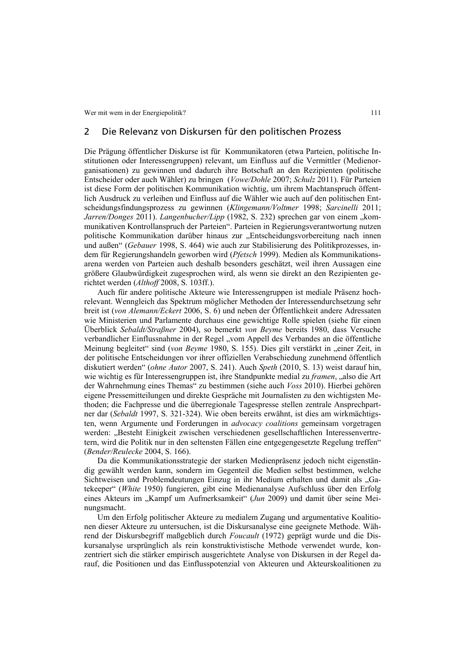### 2 Die Relevanz von Diskursen für den politischen Prozess

Die Prägung öffentlicher Diskurse ist für Kommunikatoren (etwa Parteien, politische Institutionen oder Interessengruppen) relevant, um Einfluss auf die Vermittler (Medienorganisationen) zu gewinnen und dadurch ihre Botschaft an den Rezipienten (politische Entscheider oder auch Wähler) zu bringen (*Vowe/Dohle* 2007; *Schulz* 2011). Für Parteien ist diese Form der politischen Kommunikation wichtig, um ihrem Machtanspruch öffentlich Ausdruck zu verleihen und Einfluss auf die Wähler wie auch auf den politischen Entscheidungsfindungsprozess zu gewinnen (*Klingemann/Voltmer* 1998; *Sarcinelli* 2011; *Jarren/Donges* 2011). *Langenbucher/Lipp* (1982, S. 232) sprechen gar von einem "kommunikativen Kontrollanspruch der Parteien". Parteien in Regierungsverantwortung nutzen politische Kommunikation darüber hinaus zur "Entscheidungsvorbereitung nach innen und außen" (*Gebauer* 1998, S. 464) wie auch zur Stabilisierung des Politikprozesses, indem für Regierungshandeln geworben wird (*Pfetsch* 1999). Medien als Kommunikationsarena werden von Parteien auch deshalb besonders geschätzt, weil ihren Aussagen eine größere Glaubwürdigkeit zugesprochen wird, als wenn sie direkt an den Rezipienten gerichtet werden (*Althoff* 2008, S. 103ff.).

Auch für andere politische Akteure wie Interessengruppen ist mediale Präsenz hochrelevant. Wenngleich das Spektrum möglicher Methoden der Interessendurchsetzung sehr breit ist (*von Alemann/Eckert* 2006, S. 6) und neben der Öffentlichkeit andere Adressaten wie Ministerien und Parlamente durchaus eine gewichtige Rolle spielen (siehe für einen Überblick *Sebaldt/Straßner* 2004), so bemerkt *von Beyme* bereits 1980, dass Versuche verbandlicher Einflussnahme in der Regel "vom Appell des Verbandes an die öffentliche Meinung begleitet" sind (*von Beyme* 1980, S. 155). Dies gilt verstärkt in "einer Zeit, in der politische Entscheidungen vor ihrer offiziellen Verabschiedung zunehmend öffentlich diskutiert werden" (*ohne Autor* 2007, S. 241). Auch *Speth* (2010, S. 13) weist darauf hin, wie wichtig es für Interessengruppen ist, ihre Standpunkte medial zu *framen*, "also die Art der Wahrnehmung eines Themas" zu bestimmen (siehe auch *Voss* 2010). Hierbei gehören eigene Pressemitteilungen und direkte Gespräche mit Journalisten zu den wichtigsten Methoden; die Fachpresse und die überregionale Tagespresse stellen zentrale Ansprechpartner dar (*Sebaldt* 1997, S. 321-324). Wie oben bereits erwähnt, ist dies am wirkmächtigsten, wenn Argumente und Forderungen in *advocacy coalitions* gemeinsam vorgetragen werden: "Besteht Einigkeit zwischen verschiedenen gesellschaftlichen Interessenvertretern, wird die Politik nur in den seltensten Fällen eine entgegengesetzte Regelung treffen" (*Bender/Reulecke* 2004, S. 166).

Da die Kommunikationsstrategie der starken Medienpräsenz jedoch nicht eigenständig gewählt werden kann, sondern im Gegenteil die Medien selbst bestimmen, welche Sichtweisen und Problemdeutungen Einzug in ihr Medium erhalten und damit als "Gatekeeper" (*White* 1950) fungieren, gibt eine Medienanalyse Aufschluss über den Erfolg eines Akteurs im "Kampf um Aufmerksamkeit" (*Jun* 2009) und damit über seine Meinungsmacht.

Um den Erfolg politischer Akteure zu medialem Zugang und argumentative Koalitionen dieser Akteure zu untersuchen, ist die Diskursanalyse eine geeignete Methode. Während der Diskursbegriff maßgeblich durch *Foucault* (1972) geprägt wurde und die Diskursanalyse ursprünglich als rein konstruktivistische Methode verwendet wurde, konzentriert sich die stärker empirisch ausgerichtete Analyse von Diskursen in der Regel darauf, die Positionen und das Einflusspotenzial von Akteuren und Akteurskoalitionen zu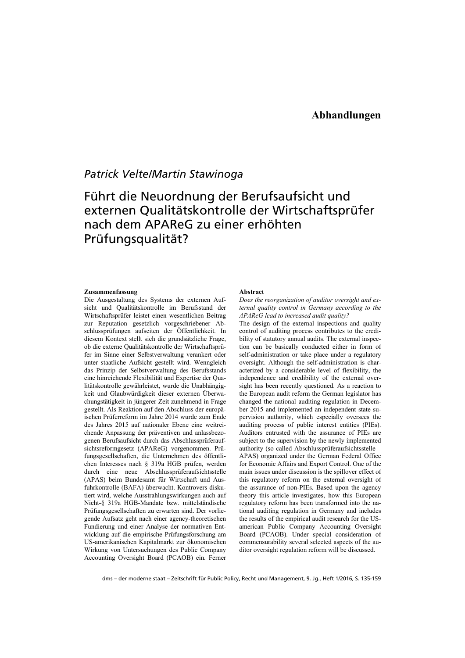## *Patrick Velte/Martin Stawinoga*

# Führt die Neuordnung der Berufsaufsicht und externen Qualitätskontrolle der Wirtschaftsprüfer nach dem APAReG zu einer erhöhten Prüfungsqualität?

#### **Zusammenfassung**

Die Ausgestaltung des Systems der externen Aufsicht und Qualitätskontrolle im Berufsstand der Wirtschaftsprüfer leistet einen wesentlichen Beitrag zur Reputation gesetzlich vorgeschriebener Abschlussprüfungen aufseiten der Öffentlichkeit. In diesem Kontext stellt sich die grundsätzliche Frage, ob die externe Qualitätskontrolle der Wirtschaftsprüfer im Sinne einer Selbstverwaltung verankert oder unter staatliche Aufsicht gestellt wird. Wenngleich das Prinzip der Selbstverwaltung des Berufsstands eine hinreichende Flexibilität und Expertise der Qualitätskontrolle gewährleistet, wurde die Unabhängigkeit und Glaubwürdigkeit dieser externen Überwachungstätigkeit in jüngerer Zeit zunehmend in Frage gestellt. Als Reaktion auf den Abschluss der europäischen Prüferreform im Jahre 2014 wurde zum Ende des Jahres 2015 auf nationaler Ebene eine weitreichende Anpassung der präventiven und anlassbezogenen Berufsaufsicht durch das Abschlussprüferaufsichtsreformgesetz (APAReG) vorgenommen. Prüfungsgesellschaften, die Unternehmen des öffentlichen Interesses nach § 319a HGB prüfen, werden durch eine neue Abschlussprüferaufsichtsstelle (APAS) beim Bundesamt für Wirtschaft und Ausfuhrkontrolle (BAFA) überwacht. Kontrovers diskutiert wird, welche Ausstrahlungswirkungen auch auf Nicht-§ 319a HGB-Mandate bzw. mittelständische Prüfungsgesellschaften zu erwarten sind. Der vorliegende Aufsatz geht nach einer agency-theoretischen Fundierung und einer Analyse der normativen Entwicklung auf die empirische Prüfungsforschung am US-amerikanischen Kapitalmarkt zur ökonomischen Wirkung von Untersuchungen des Public Company Accounting Oversight Board (PCAOB) ein. Ferner

#### **Abstract**

*Does the reorganization of auditor oversight and external quality control in Germany according to the APAReG lead to increased audit quality?* 

The design of the external inspections and quality control of auditing process contributes to the credibility of statutory annual audits. The external inspection can be basically conducted either in form of self-administration or take place under a regulatory oversight. Although the self-administration is characterized by a considerable level of flexibility, the independence and credibility of the external oversight has been recently questioned. As a reaction to the European audit reform the German legislator has changed the national auditing regulation in December 2015 and implemented an independent state supervision authority, which especially oversees the auditing process of public interest entities (PIEs). Auditors entrusted with the assurance of PIEs are subject to the supervision by the newly implemented authority (so called Abschlussprüferaufsichtsstelle – APAS) organized under the German Federal Office for Economic Affairs and Export Control. One of the main issues under discussion is the spillover effect of this regulatory reform on the external oversight of the assurance of non-PIEs. Based upon the agency theory this article investigates, how this European regulatory reform has been transformed into the national auditing regulation in Germany and includes the results of the empirical audit research for the USamerican Public Company Accounting Oversight Board (PCAOB). Under special consideration of commensurability several selected aspects of the auditor oversight regulation reform will be discussed.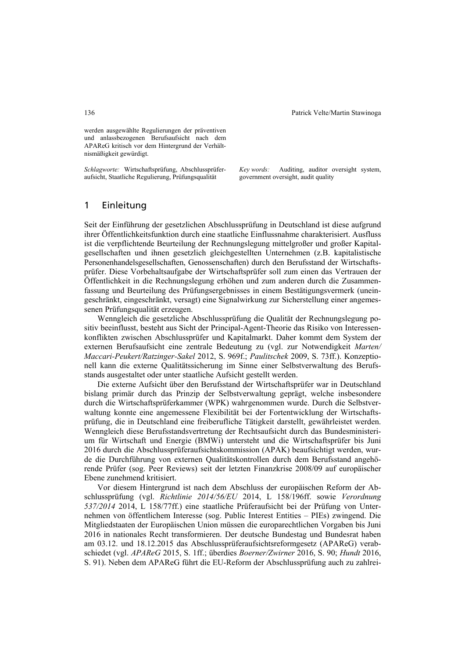werden ausgewählte Regulierungen der präventiven und anlassbezogenen Berufsaufsicht nach dem APAReG kritisch vor dem Hintergrund der Verhältnismäßigkeit gewürdigt.

*Schlagworte:* Wirtschaftsprüfung, Abschlussprüferaufsicht, Staatliche Regulierung, Prüfungsqualität

*Key words:* Auditing, auditor oversight system, government oversight, audit quality

### 1 Einleitung

Seit der Einführung der gesetzlichen Abschlussprüfung in Deutschland ist diese aufgrund ihrer Öffentlichkeitsfunktion durch eine staatliche Einflussnahme charakterisiert. Ausfluss ist die verpflichtende Beurteilung der Rechnungslegung mittelgroßer und großer Kapitalgesellschaften und ihnen gesetzlich gleichgestellten Unternehmen (z.B. kapitalistische Personenhandelsgesellschaften, Genossenschaften) durch den Berufsstand der Wirtschaftsprüfer. Diese Vorbehaltsaufgabe der Wirtschaftsprüfer soll zum einen das Vertrauen der Öffentlichkeit in die Rechnungslegung erhöhen und zum anderen durch die Zusammenfassung und Beurteilung des Prüfungsergebnisses in einem Bestätigungsvermerk (uneingeschränkt, eingeschränkt, versagt) eine Signalwirkung zur Sicherstellung einer angemessenen Prüfungsqualität erzeugen.

Wenngleich die gesetzliche Abschlussprüfung die Qualität der Rechnungslegung positiv beeinflusst, besteht aus Sicht der Principal-Agent-Theorie das Risiko von Interessenkonflikten zwischen Abschlussprüfer und Kapitalmarkt. Daher kommt dem System der externen Berufsaufsicht eine zentrale Bedeutung zu (vgl. zur Notwendigkeit *Marten/ Maccari-Peukert/Ratzinger-Sakel* 2012, S. 969f.; *Paulitschek* 2009, S. 73ff.). Konzeptionell kann die externe Qualitätssicherung im Sinne einer Selbstverwaltung des Berufsstands ausgestaltet oder unter staatliche Aufsicht gestellt werden.

Die externe Aufsicht über den Berufsstand der Wirtschaftsprüfer war in Deutschland bislang primär durch das Prinzip der Selbstverwaltung geprägt, welche insbesondere durch die Wirtschaftsprüferkammer (WPK) wahrgenommen wurde. Durch die Selbstverwaltung konnte eine angemessene Flexibilität bei der Fortentwicklung der Wirtschaftsprüfung, die in Deutschland eine freiberufliche Tätigkeit darstellt, gewährleistet werden. Wenngleich diese Berufsstandsvertretung der Rechtsaufsicht durch das Bundesministerium für Wirtschaft und Energie (BMWi) untersteht und die Wirtschaftsprüfer bis Juni 2016 durch die Abschlussprüferaufsichtskommission (APAK) beaufsichtigt werden, wurde die Durchführung von externen Qualitätskontrollen durch dem Berufsstand angehörende Prüfer (sog. Peer Reviews) seit der letzten Finanzkrise 2008/09 auf europäischer Ebene zunehmend kritisiert.

Vor diesem Hintergrund ist nach dem Abschluss der europäischen Reform der Abschlussprüfung (vgl. *Richtlinie 2014/56/EU* 2014, L 158/196ff. sowie *Verordnung 537/2014* 2014, L 158/77ff.) eine staatliche Prüferaufsicht bei der Prüfung von Unternehmen von öffentlichem Interesse (sog. Public Interest Entities – PIEs) zwingend. Die Mitgliedstaaten der Europäischen Union müssen die europarechtlichen Vorgaben bis Juni 2016 in nationales Recht transformieren. Der deutsche Bundestag und Bundesrat haben am 03.12. und 18.12.2015 das Abschlussprüferaufsichtsreformgesetz (APAReG) verabschiedet (vgl. *APAReG* 2015, S. 1ff.; überdies *Boerner/Zwirner* 2016, S. 90; *Hundt* 2016, S. 91). Neben dem APAReG führt die EU-Reform der Abschlussprüfung auch zu zahlrei-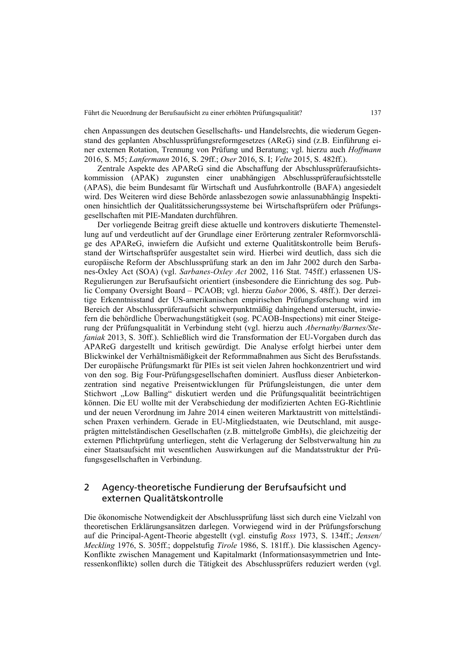chen Anpassungen des deutschen Gesellschafts- und Handelsrechts, die wiederum Gegenstand des geplanten Abschlussprüfungsreformgesetzes (AReG) sind (z.B. Einführung einer externen Rotation, Trennung von Prüfung und Beratung; vgl. hierzu auch *Hoffmann* 2016, S. M5; *Lanfermann* 2016, S. 29ff.; *Oser* 2016, S. I; *Velte* 2015, S. 482ff.).

Zentrale Aspekte des APAReG sind die Abschaffung der Abschlussprüferaufsichtskommission (APAK) zugunsten einer unabhängigen Abschlussprüferaufsichtsstelle (APAS), die beim Bundesamt für Wirtschaft und Ausfuhrkontrolle (BAFA) angesiedelt wird. Des Weiteren wird diese Behörde anlassbezogen sowie anlassunabhängig Inspektionen hinsichtlich der Qualitätssicherungssysteme bei Wirtschaftsprüfern oder Prüfungsgesellschaften mit PIE-Mandaten durchführen.

Der vorliegende Beitrag greift diese aktuelle und kontrovers diskutierte Themenstellung auf und verdeutlicht auf der Grundlage einer Erörterung zentraler Reformvorschläge des APAReG, inwiefern die Aufsicht und externe Qualitätskontrolle beim Berufsstand der Wirtschaftsprüfer ausgestaltet sein wird. Hierbei wird deutlich, dass sich die europäische Reform der Abschlussprüfung stark an den im Jahr 2002 durch den Sarbanes-Oxley Act (SOA) (vgl. *Sarbanes-Oxley Act* 2002, 116 Stat. 745ff.) erlassenen US-Regulierungen zur Berufsaufsicht orientiert (insbesondere die Einrichtung des sog. Public Company Oversight Board – PCAOB; vgl. hierzu *Gabor* 2006, S. 48ff.). Der derzeitige Erkenntnisstand der US-amerikanischen empirischen Prüfungsforschung wird im Bereich der Abschlussprüferaufsicht schwerpunktmäßig dahingehend untersucht, inwiefern die behördliche Überwachungstätigkeit (sog. PCAOB-Inspections) mit einer Steigerung der Prüfungsqualität in Verbindung steht (vgl. hierzu auch *Abernathy/Barnes/Stefaniak* 2013, S. 30ff.). Schließlich wird die Transformation der EU-Vorgaben durch das APAReG dargestellt und kritisch gewürdigt. Die Analyse erfolgt hierbei unter dem Blickwinkel der Verhältnismäßigkeit der Reformmaßnahmen aus Sicht des Berufsstands. Der europäische Prüfungsmarkt für PIEs ist seit vielen Jahren hochkonzentriert und wird von den sog. Big Four-Prüfungsgesellschaften dominiert. Ausfluss dieser Anbieterkonzentration sind negative Preisentwicklungen für Prüfungsleistungen, die unter dem Stichwort "Low Balling" diskutiert werden und die Prüfungsqualität beeinträchtigen können. Die EU wollte mit der Verabschiedung der modifizierten Achten EG-Richtlinie und der neuen Verordnung im Jahre 2014 einen weiteren Marktaustritt von mittelständischen Praxen verhindern. Gerade in EU-Mitgliedstaaten, wie Deutschland, mit ausgeprägten mittelständischen Gesellschaften (z.B. mittelgroße GmbHs), die gleichzeitig der externen Pflichtprüfung unterliegen, steht die Verlagerung der Selbstverwaltung hin zu einer Staatsaufsicht mit wesentlichen Auswirkungen auf die Mandatsstruktur der Prüfungsgesellschaften in Verbindung.

### 2 Agency-theoretische Fundierung der Berufsaufsicht und externen Qualitätskontrolle

Die ökonomische Notwendigkeit der Abschlussprüfung lässt sich durch eine Vielzahl von theoretischen Erklärungsansätzen darlegen. Vorwiegend wird in der Prüfungsforschung auf die Principal-Agent-Theorie abgestellt (vgl. einstufig *Ross* 1973, S. 134ff.; *Jensen/ Meckling* 1976, S. 305ff.; doppelstufig *Tirole* 1986, S. 181ff.). Die klassischen Agency-Konflikte zwischen Management und Kapitalmarkt (Informationsasymmetrien und Interessenkonflikte) sollen durch die Tätigkeit des Abschlussprüfers reduziert werden (vgl.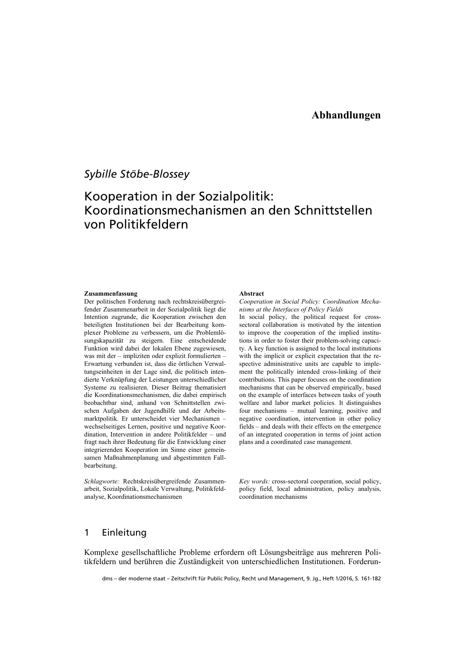## *Sybille Stöbe-Blossey*

# Kooperation in der Sozialpolitik: Koordinationsmechanismen an den Schnittstellen von Politikfeldern

#### **Zusammenfassung**

Der politischen Forderung nach rechtskreisübergreifender Zusammenarbeit in der Sozialpolitik liegt die Intention zugrunde, die Kooperation zwischen den beteiligten Institutionen bei der Bearbeitung komplexer Probleme zu verbessern, um die Problemlösungskapazität zu steigern. Eine entscheidende Funktion wird dabei der lokalen Ebene zugewiesen, was mit der – impliziten oder explizit formulierten – Erwartung verbunden ist, dass die örtlichen Verwaltungseinheiten in der Lage sind, die politisch intendierte Verknüpfung der Leistungen unterschiedlicher Systeme zu realisieren. Dieser Beitrag thematisiert die Koordinationsmechanismen, die dabei empirisch beobachtbar sind, anhand von Schnittstellen zwischen Aufgaben der Jugendhilfe und der Arbeitsmarktpolitik. Er unterscheidet vier Mechanismen – wechselseitiges Lernen, positive und negative Koordination, Intervention in andere Politikfelder – und fragt nach ihrer Bedeutung für die Entwicklung einer integrierenden Kooperation im Sinne einer gemeinsamen Maßnahmenplanung und abgestimmten Fallbearbeitung.

*Schlagworte:* Rechtskreisübergreifende Zusammenarbeit, Sozialpolitik, Lokale Verwaltung, Politikfeldanalyse, Koordinationsmechanismen

#### **Abstract**

*Cooperation in Social Policy: Coordination Mechanisms at the Interfaces of Policy Fields* 

In social policy, the political request for crosssectoral collaboration is motivated by the intention to improve the cooperation of the implied institutions in order to foster their problem-solving capacity. A key function is assigned to the local institutions with the implicit or explicit expectation that the respective administrative units are capable to implement the politically intended cross-linking of their contributions. This paper focuses on the coordination mechanisms that can be observed empirically, based on the example of interfaces between tasks of youth welfare and labor market policies. It distinguishes four mechanisms – mutual learning, positive and negative coordination, intervention in other policy fields – and deals with their effects on the emergence of an integrated cooperation in terms of joint action plans and a coordinated case management.

*Key words:* cross-sectoral cooperation, social policy, policy field, local administration, policy analysis, coordination mechanisms

### 1 Einleitung

Komplexe gesellschaftliche Probleme erfordern oft Lösungsbeiträge aus mehreren Politikfeldern und berühren die Zuständigkeit von unterschiedlichen Institutionen. Forderun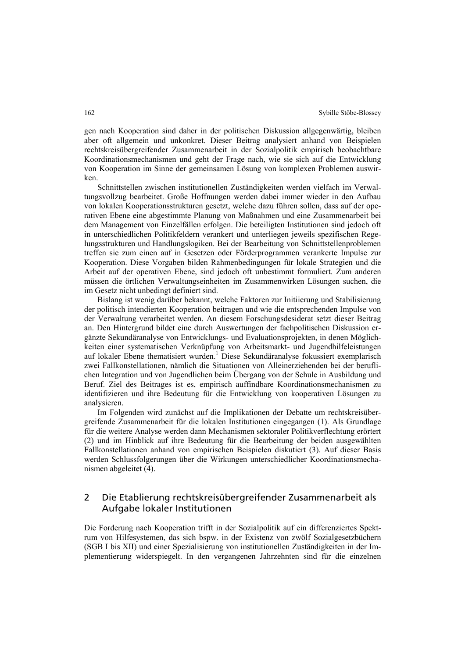gen nach Kooperation sind daher in der politischen Diskussion allgegenwärtig, bleiben aber oft allgemein und unkonkret. Dieser Beitrag analysiert anhand von Beispielen rechtskreisübergreifender Zusammenarbeit in der Sozialpolitik empirisch beobachtbare Koordinationsmechanismen und geht der Frage nach, wie sie sich auf die Entwicklung von Kooperation im Sinne der gemeinsamen Lösung von komplexen Problemen auswirken.

Schnittstellen zwischen institutionellen Zuständigkeiten werden vielfach im Verwaltungsvollzug bearbeitet. Große Hoffnungen werden dabei immer wieder in den Aufbau von lokalen Kooperationsstrukturen gesetzt, welche dazu führen sollen, dass auf der operativen Ebene eine abgestimmte Planung von Maßnahmen und eine Zusammenarbeit bei dem Management von Einzelfällen erfolgen. Die beteiligten Institutionen sind jedoch oft in unterschiedlichen Politikfeldern verankert und unterliegen jeweils spezifischen Regelungsstrukturen und Handlungslogiken. Bei der Bearbeitung von Schnittstellenproblemen treffen sie zum einen auf in Gesetzen oder Förderprogrammen verankerte Impulse zur Kooperation. Diese Vorgaben bilden Rahmenbedingungen für lokale Strategien und die Arbeit auf der operativen Ebene, sind jedoch oft unbestimmt formuliert. Zum anderen müssen die örtlichen Verwaltungseinheiten im Zusammenwirken Lösungen suchen, die im Gesetz nicht unbedingt definiert sind.

Bislang ist wenig darüber bekannt, welche Faktoren zur Initiierung und Stabilisierung der politisch intendierten Kooperation beitragen und wie die entsprechenden Impulse von der Verwaltung verarbeitet werden. An diesem Forschungsdesiderat setzt dieser Beitrag an. Den Hintergrund bildet eine durch Auswertungen der fachpolitischen Diskussion ergänzte Sekundäranalyse von Entwicklungs- und Evaluationsprojekten, in denen Möglichkeiten einer systematischen Verknüpfung von Arbeitsmarkt- und Jugendhilfeleistungen auf lokaler Ebene thematisiert wurden.<sup>1</sup> Diese Sekundäranalyse fokussiert exemplarisch zwei Fallkonstellationen, nämlich die Situationen von Alleinerziehenden bei der beruflichen Integration und von Jugendlichen beim Übergang von der Schule in Ausbildung und Beruf. Ziel des Beitrages ist es, empirisch auffindbare Koordinationsmechanismen zu identifizieren und ihre Bedeutung für die Entwicklung von kooperativen Lösungen zu analysieren.

Im Folgenden wird zunächst auf die Implikationen der Debatte um rechtskreisübergreifende Zusammenarbeit für die lokalen Institutionen eingegangen (1). Als Grundlage für die weitere Analyse werden dann Mechanismen sektoraler Politikverflechtung erörtert (2) und im Hinblick auf ihre Bedeutung für die Bearbeitung der beiden ausgewählten Fallkonstellationen anhand von empirischen Beispielen diskutiert (3). Auf dieser Basis werden Schlussfolgerungen über die Wirkungen unterschiedlicher Koordinationsmechanismen abgeleitet (4).

### 2 Die Etablierung rechtskreisübergreifender Zusammenarbeit als Aufgabe lokaler Institutionen

Die Forderung nach Kooperation trifft in der Sozialpolitik auf ein differenziertes Spektrum von Hilfesystemen, das sich bspw. in der Existenz von zwölf Sozialgesetzbüchern (SGB I bis XII) und einer Spezialisierung von institutionellen Zuständigkeiten in der Implementierung widerspiegelt. In den vergangenen Jahrzehnten sind für die einzelnen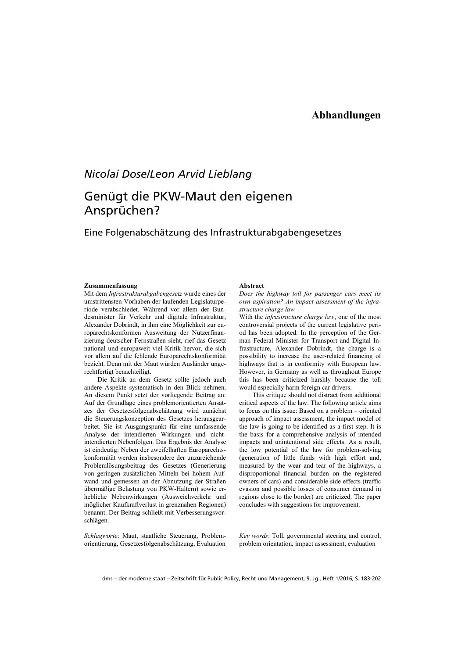### **Abhandlungen**

## *Nicolai Dose/Leon Arvid Lieblang*

# Genügt die PKW-Maut den eigenen Ansprüchen?

### Eine Folgenabschätzung des Infrastrukturabgabengesetzes

#### **Zusammenfassung**

Mit dem *Infrastrukturabgabengesetz* wurde eines der umstrittensten Vorhaben der laufenden Legislaturperiode verabschiedet. Während vor allem der Bundesminister für Verkehr und digitale Infrastruktur, Alexander Dobrindt, in ihm eine Möglichkeit zur europarechtskonformen Ausweitung der Nutzerfinanzierung deutscher Fernstraßen sieht, rief das Gesetz national und europaweit viel Kritik hervor, die sich vor allem auf die fehlende Europarechtskonformität bezieht. Denn mit der Maut würden Ausländer ungerechtfertigt benachteiligt.

Die Kritik an dem Gesetz sollte jedoch auch andere Aspekte systematisch in den Blick nehmen. An diesem Punkt setzt der vorliegende Beitrag an: Auf der Grundlage eines problemorientierten Ansatzes der Gesetzesfolgenabschätzung wird zunächst die Steuerungskonzeption des Gesetzes herausgearbeitet. Sie ist Ausgangspunkt für eine umfassende Analyse der intendierten Wirkungen und nichtintendierten Nebenfolgen. Das Ergebnis der Analyse ist eindeutig: Neben der zweifelhaften Europarechtskonformität werden insbesondere der unzureichende Problemlösungsbeitrag des Gesetzes (Generierung von geringen zusätzlichen Mitteln bei hohem Aufwand und gemessen an der Abnutzung der Straßen übermäßige Belastung von PKW-Haltern) sowie erhebliche Nebenwirkungen (Ausweichverkehr und möglicher Kaufkraftverlust in grenznahen Regionen) benannt. Der Beitrag schließt mit Verbesserungsvorschlägen.

*Schlagworte*: Maut, staatliche Steuerung, Problemorientierung, Gesetzesfolgenabschätzung, Evaluation

#### **Abstract**

*Does the highway toll for passenger cars meet its own aspiration? An impact assessment of the infrastructure charge law* 

With the *infrastructure charge law*, one of the most controversial projects of the current legislative period has been adopted. In the perception of the German Federal Minister for Transport and Digital Infrastructure, Alexander Dobrindt, the charge is a possibility to increase the user-related financing of highways that is in conformity with European law. However, in Germany as well as throughout Europe this has been criticized harshly because the toll would especially harm foreign car drivers.

This critique should not distract from additional critical aspects of the law. The following article aims to focus on this issue: Based on a problem – oriented approach of impact assessment, the impact model of the law is going to be identified as a first step. It is the basis for a comprehensive analysis of intended impacts and unintentional side effects. As a result, the low potential of the law for problem-solving (generation of little funds with high effort and, measured by the wear and tear of the highways, a disproportional financial burden on the registered owners of cars) and considerable side effects (traffic evasion and possible losses of consumer demand in regions close to the border) are criticized. The paper concludes with suggestions for improvement.

*Key words*: Toll, governmental steering and control, problem orientation, impact assessment, evaluation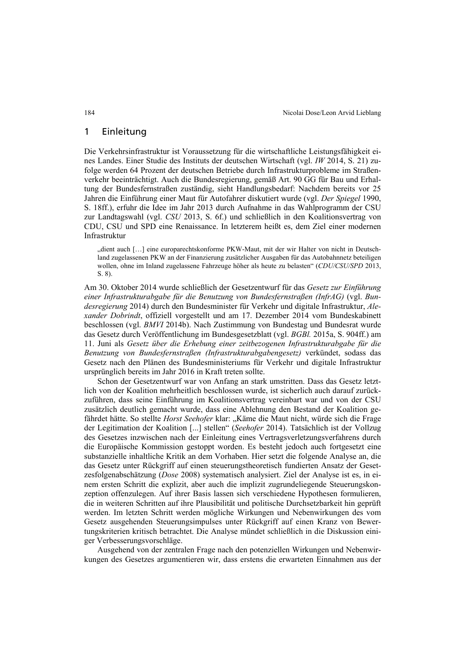### 1 Einleitung

Die Verkehrsinfrastruktur ist Voraussetzung für die wirtschaftliche Leistungsfähigkeit eines Landes. Einer Studie des Instituts der deutschen Wirtschaft (vgl. *IW* 2014, S. 21) zufolge werden 64 Prozent der deutschen Betriebe durch Infrastrukturprobleme im Straßenverkehr beeinträchtigt. Auch die Bundesregierung, gemäß Art. 90 GG für Bau und Erhaltung der Bundesfernstraßen zuständig, sieht Handlungsbedarf: Nachdem bereits vor 25 Jahren die Einführung einer Maut für Autofahrer diskutiert wurde (vgl. *Der Spiegel* 1990, S. 18ff.), erfuhr die Idee im Jahr 2013 durch Aufnahme in das Wahlprogramm der CSU zur Landtagswahl (vgl. *CSU* 2013, S. 6f.) und schließlich in den Koalitionsvertrag von CDU, CSU und SPD eine Renaissance. In letzterem heißt es, dem Ziel einer modernen Infrastruktur

"dient auch […] eine europarechtskonforme PKW-Maut, mit der wir Halter von nicht in Deutschland zugelassenen PKW an der Finanzierung zusätzlicher Ausgaben für das Autobahnnetz beteiligen wollen, ohne im Inland zugelassene Fahrzeuge höher als heute zu belasten" (*CDU/CSU/SPD* 2013, S. 8).

Am 30. Oktober 2014 wurde schließlich der Gesetzentwurf für das *Gesetz zur Einführung einer Infrastrukturabgabe für die Benutzung von Bundesfernstraßen (InfrAG)* (vgl. *Bundesregierung* 2014) durch den Bundesminister für Verkehr und digitale Infrastruktur, *Alexander Dobrindt*, offiziell vorgestellt und am 17. Dezember 2014 vom Bundeskabinett beschlossen (vgl. *BMVI* 2014b). Nach Zustimmung von Bundestag und Bundesrat wurde das Gesetz durch Veröffentlichung im Bundesgesetzblatt (vgl. *BGBl.* 2015a, S. 904ff.) am 11. Juni als *Gesetz über die Erhebung einer zeitbezogenen Infrastrukturabgabe für die Benutzung von Bundesfernstraßen (Infrastrukturabgabengesetz)* verkündet, sodass das Gesetz nach den Plänen des Bundesministeriums für Verkehr und digitale Infrastruktur ursprünglich bereits im Jahr 2016 in Kraft treten sollte.

Schon der Gesetzentwurf war von Anfang an stark umstritten. Dass das Gesetz letztlich von der Koalition mehrheitlich beschlossen wurde, ist sicherlich auch darauf zurückzuführen, dass seine Einführung im Koalitionsvertrag vereinbart war und von der CSU zusätzlich deutlich gemacht wurde, dass eine Ablehnung den Bestand der Koalition gefährdet hätte. So stellte *Horst Seehofer* klar: "Käme die Maut nicht, würde sich die Frage der Legitimation der Koalition [...] stellen" (*Seehofer* 2014). Tatsächlich ist der Vollzug des Gesetzes inzwischen nach der Einleitung eines Vertragsverletzungsverfahrens durch die Europäische Kommission gestoppt worden. Es besteht jedoch auch fortgesetzt eine substanzielle inhaltliche Kritik an dem Vorhaben. Hier setzt die folgende Analyse an, die das Gesetz unter Rückgriff auf einen steuerungstheoretisch fundierten Ansatz der Gesetzesfolgenabschätzung (*Dose* 2008) systematisch analysiert. Ziel der Analyse ist es, in einem ersten Schritt die explizit, aber auch die implizit zugrundeliegende Steuerungskonzeption offenzulegen. Auf ihrer Basis lassen sich verschiedene Hypothesen formulieren, die in weiteren Schritten auf ihre Plausibilität und politische Durchsetzbarkeit hin geprüft werden. Im letzten Schritt werden mögliche Wirkungen und Nebenwirkungen des vom Gesetz ausgehenden Steuerungsimpulses unter Rückgriff auf einen Kranz von Bewertungskriterien kritisch betrachtet. Die Analyse mündet schließlich in die Diskussion einiger Verbesserungsvorschläge.

Ausgehend von der zentralen Frage nach den potenziellen Wirkungen und Nebenwirkungen des Gesetzes argumentieren wir, dass erstens die erwarteten Einnahmen aus der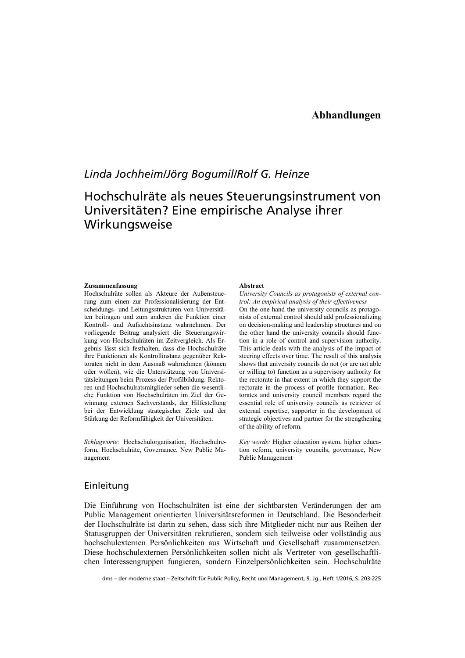### **Abhandlungen**

# *Linda Jochheim/Jörg Bogumil/Rolf G. Heinze*

# Hochschulräte als neues Steuerungsinstrument von Universitäten? Eine empirische Analyse ihrer Wirkungsweise

#### **Zusammenfassung**

Hochschulräte sollen als Akteure der Außensteuerung zum einen zur Professionalisierung der Entscheidungs- und Leitungsstrukturen von Universitäten beitragen und zum anderen die Funktion einer Kontroll- und Aufsichtsinstanz wahrnehmen. Der vorliegende Beitrag analysiert die Steuerungswirkung von Hochschulräten im Zeitvergleich. Als Ergebnis lässt sich festhalten, dass die Hochschulräte ihre Funktionen als Kontrollinstanz gegenüber Rektoraten nicht in dem Ausmaß wahrnehmen (können oder wollen), wie die Unterstützung von Universitätsleitungen beim Prozess der Profilbildung. Rektoren und Hochschulratsmitglieder sehen die wesentliche Funktion von Hochschulräten im Ziel der Gewinnung externen Sachverstands, der Hilfestellung bei der Entwicklung strategischer Ziele und der Stärkung der Reformfähigkeit der Universitäten.

*Schlagworte:* Hochschulorganisation, Hochschulreform, Hochschulräte, Governance, New Public Management

#### **Abstract**

*University Councils as protagonists of external control: An empirical analysis of their effectiveness*  On the one hand the university councils as protagonists of external control should add professionalizing on decision-making and leadership structures and on the other hand the university councils should function in a role of control and supervision authority. This article deals with the analysis of the impact of steering effects over time. The result of this analysis shows that university councils do not (or are not able or willing to) function as a supervisory authority for the rectorate in that extent in which they support the rectorate in the process of profile formation. Rectorates and university council members regard the essential role of university councils as retriever of external expertise, supporter in the development of strategic objectives and partner for the strengthening of the ability of reform.

*Key words:* Higher education system, higher education reform, university councils, governance, New Public Management

### Einleitung

Die Einführung von Hochschulräten ist eine der sichtbarsten Veränderungen der am Public Management orientierten Universitätsreformen in Deutschland. Die Besonderheit der Hochschulräte ist darin zu sehen, dass sich ihre Mitglieder nicht nur aus Reihen der Statusgruppen der Universitäten rekrutieren, sondern sich teilweise oder vollständig aus hochschulexternen Persönlichkeiten aus Wirtschaft und Gesellschaft zusammensetzen. Diese hochschulexternen Persönlichkeiten sollen nicht als Vertreter von gesellschaftlichen Interessengruppen fungieren, sondern Einzelpersönlichkeiten sein. Hochschulräte